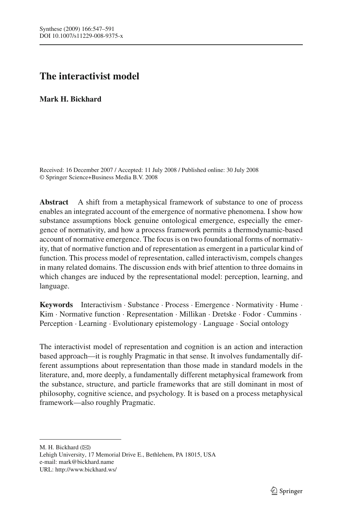# **The interactivist model**

# **Mark H. Bickhard**

Received: 16 December 2007 / Accepted: 11 July 2008 / Published online: 30 July 2008 © Springer Science+Business Media B.V. 2008

**Abstract** A shift from a metaphysical framework of substance to one of process enables an integrated account of the emergence of normative phenomena. I show how substance assumptions block genuine ontological emergence, especially the emergence of normativity, and how a process framework permits a thermodynamic-based account of normative emergence. The focus is on two foundational forms of normativity, that of normative function and of representation as emergent in a particular kind of function. This process model of representation, called interactivism, compels changes in many related domains. The discussion ends with brief attention to three domains in which changes are induced by the representational model: perception, learning, and language.

**Keywords** Interactivism · Substance · Process · Emergence · Normativity · Hume · Kim · Normative function · Representation · Millikan · Dretske · Fodor · Cummins · Perception · Learning · Evolutionary epistemology · Language · Social ontology

The interactivist model of representation and cognition is an action and interaction based approach—it is roughly Pragmatic in that sense. It involves fundamentally different assumptions about representation than those made in standard models in the literature, and, more deeply, a fundamentally different metaphysical framework from the substance, structure, and particle frameworks that are still dominant in most of philosophy, cognitive science, and psychology. It is based on a process metaphysical framework—also roughly Pragmatic.

M. H. Bickhard  $(\boxtimes)$ Lehigh University, 17 Memorial Drive E., Bethlehem, PA 18015, USA e-mail: mark@bickhard.name URL: http://www.bickhard.ws/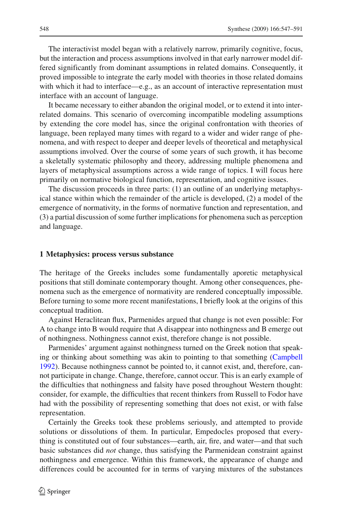The interactivist model began with a relatively narrow, primarily cognitive, focus, but the interaction and process assumptions involved in that early narrower model differed significantly from dominant assumptions in related domains. Consequently, it proved impossible to integrate the early model with theories in those related domains with which it had to interface—e.g., as an account of interactive representation must interface with an account of language.

It became necessary to either abandon the original model, or to extend it into interrelated domains. This scenario of overcoming incompatible modeling assumptions by extending the core model has, since the original confrontation with theories of language, been replayed many times with regard to a wider and wider range of phenomena, and with respect to deeper and deeper levels of theoretical and metaphysical assumptions involved. Over the course of some years of such growth, it has become a skeletally systematic philosophy and theory, addressing multiple phenomena and layers of metaphysical assumptions across a wide range of topics. I will focus here primarily on normative biological function, representation, and cognitive issues.

The discussion proceeds in three parts: (1) an outline of an underlying metaphysical stance within which the remainder of the article is developed, (2) a model of the emergence of normativity, in the forms of normative function and representation, and (3) a partial discussion of some further implications for phenomena such as perception and language.

#### **1 Metaphysics: process versus substance**

The heritage of the Greeks includes some fundamentally aporetic metaphysical positions that still dominate contemporary thought. Among other consequences, phenomena such as the emergence of normativity are rendered conceptually impossible. Before turning to some more recent manifestations, I briefly look at the origins of this conceptual tradition.

Against Heraclitean flux, Parmenides argued that change is not even possible: For A to change into B would require that A disappear into nothingness and B emerge out of nothingness. Nothingness cannot exist, therefore change is not possible.

Parmenides' argument against nothingness turned on the Greek notion that speaking or thinking about something was akin to pointing to that something [\(Campbell](#page-41-0) [1992\)](#page-41-0). Because nothingness cannot be pointed to, it cannot exist, and, therefore, cannot participate in change. Change, therefore, cannot occur. This is an early example of the difficulties that nothingness and falsity have posed throughout Western thought: consider, for example, the difficulties that recent thinkers from Russell to Fodor have had with the possibility of representing something that does not exist, or with false representation.

Certainly the Greeks took these problems seriously, and attempted to provide solutions or dissolutions of them. In particular, Empedocles proposed that everything is constituted out of four substances—earth, air, fire, and water—and that such basic substances did *not* change, thus satisfying the Parmenidean constraint against nothingness and emergence. Within this framework, the appearance of change and differences could be accounted for in terms of varying mixtures of the substances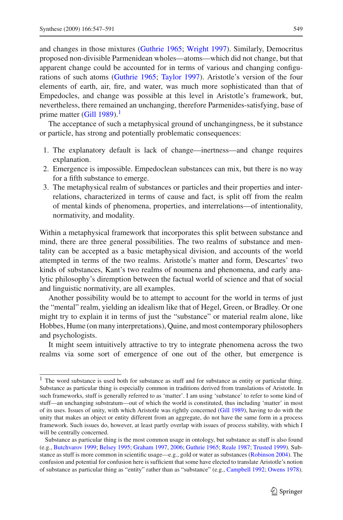and changes in those mixtures [\(Guthrie 1965](#page-42-0); [Wright 1997\)](#page-44-0). Similarly, Democritus proposed non-divisible Parmenidean wholes—atoms—which did not change, but that apparent change could be accounted for in terms of various and changing configurations of such atoms [\(Guthrie 1965](#page-42-0); [Taylor 1997](#page-43-0)). Aristotle's version of the four elements of earth, air, fire, and water, was much more sophisticated than that of Empedocles, and change was possible at this level in Aristotle's framework, but, nevertheless, there remained an unchanging, therefore Parmenides-satisfying, base of prime matter [\(Gill 1989\)](#page-42-1).<sup>[1](#page-2-0)</sup>

The acceptance of such a metaphysical ground of unchangingness, be it substance or particle, has strong and potentially problematic consequences:

- 1. The explanatory default is lack of change—inertness—and change requires explanation.
- 2. Emergence is impossible. Empedoclean substances can mix, but there is no way for a fifth substance to emerge.
- 3. The metaphysical realm of substances or particles and their properties and interrelations, characterized in terms of cause and fact, is split off from the realm of mental kinds of phenomena, properties, and interrelations—of intentionality, normativity, and modality.

Within a metaphysical framework that incorporates this split between substance and mind, there are three general possibilities. The two realms of substance and mentality can be accepted as a basic metaphysical division, and accounts of the world attempted in terms of the two realms. Aristotle's matter and form, Descartes' two kinds of substances, Kant's two realms of noumena and phenomena, and early analytic philosophy's diremption between the factual world of science and that of social and linguistic normativity, are all examples.

Another possibility would be to attempt to account for the world in terms of just the "mental" realm, yielding an idealism like that of Hegel, Green, or Bradley. Or one might try to explain it in terms of just the "substance" or material realm alone, like Hobbes, Hume (on many interpretations), Quine, and most contemporary philosophers and psychologists.

It might seem intuitively attractive to try to integrate phenomena across the two realms via some sort of emergence of one out of the other, but emergence is

<span id="page-2-0"></span><sup>&</sup>lt;sup>1</sup> The word substance is used both for substance as stuff and for substance as entity or particular thing. Substance as particular thing is especially common in traditions derived from translations of Aristotle. In such frameworks, stuff is generally referred to as 'matter'. I am using 'substance' to refer to some kind of stuff—an unchanging substratum—out of which the world is constituted, thus including 'matter' in most of its uses. Issues of unity, with which Aristotle was rightly concerned [\(Gill 1989\)](#page-42-1), having to do with the unity that makes an object or entity different from an aggregate, do not have the same form in a process framework. Such issues do, however, at least partly overlap with issues of process stability, with which I will be centrally concerned.

Substance as particular thing is the most common usage in ontology, but substance as stuff is also found (e.g., [Butchvarov 1999](#page-41-1); [Belsey 1995;](#page-40-0) [Graham 1997](#page-42-2), [2006](#page-42-3); [Guthrie 1965;](#page-42-0) [Reale 1987;](#page-43-1) [Trusted 1999](#page-43-2)). Substance as stuff is more common in scientific usage—e.g., gold or water as substances [\(Robinson 2004](#page-43-3)). The confusion and potential for confusion here is sufficient that some have elected to translate Aristotle's notion of substance as particular thing as "entity" rather than as "substance" (e.g., [Campbell 1992](#page-41-0); [Owens 1978](#page-43-4)).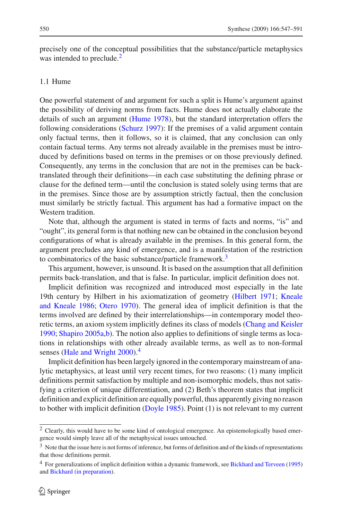precisely one of the conceptual possibilities that the substance/particle metaphysics was intended to preclude.<sup>2</sup>

#### 1.1 Hume

One powerful statement of and argument for such a split is Hume's argument against the possibility of deriving norms from facts. Hume does not actually elaborate the details of such an argument [\(Hume 1978](#page-42-4)), but the standard interpretation offers the following considerations [\(Schurz 1997](#page-43-5)): If the premises of a valid argument contain only factual terms, then it follows, so it is claimed, that any conclusion can only contain factual terms. Any terms not already available in the premises must be introduced by definitions based on terms in the premises or on those previously defined. Consequently, any terms in the conclusion that are not in the premises can be backtranslated through their definitions—in each case substituting the defining phrase or clause for the defined term—until the conclusion is stated solely using terms that are in the premises. Since those are by assumption strictly factual, then the conclusion must similarly be strictly factual. This argument has had a formative impact on the Western tradition.

Note that, although the argument is stated in terms of facts and norms, "is" and "ought", its general form is that nothing new can be obtained in the conclusion beyond configurations of what is already available in the premises. In this general form, the argument precludes any kind of emergence, and is a manifestation of the restriction to combinatorics of the basic substance/particle framework.<sup>3</sup>

This argument, however, is unsound. It is based on the assumption that all definition permits back-translation, and that is false. In particular, implicit definition does not.

Implicit definition was recognized and introduced most especially in the late 19th centu[ry](#page-42-6) [by](#page-42-6) [Hilbert](#page-42-6) [in](#page-42-6) [his](#page-42-6) [axiomatization](#page-42-6) [of](#page-42-6) [geometry](#page-42-6) [\(Hilbert 1971](#page-42-5)[;](#page-42-6) Kneale and Kneale [1986](#page-42-6); [Otero 1970](#page-43-6)). The general idea of implicit definition is that the terms involved are defined by their interrelationships—in contemporary model theoretic terms, an axiom system implicitly defines its class of models [\(Chang and Keisler](#page-41-2) [1990;](#page-41-2) [Shapiro 2005a](#page-43-7)[,b\)](#page-43-8). The notion also applies to definitions of single terms as locations in relationships with other already available terms, as well as to non-formal senses [\(Hale and Wright 2000\)](#page-42-7).<sup>[4](#page-3-2)</sup>

Implicit definition has been largely ignored in the contemporary mainstream of analytic metaphysics, at least until very recent times, for two reasons: (1) many implicit definitions permit satisfaction by multiple and non-isomorphic models, thus not satisfying a criterion of unique differentiation, and (2) Beth's theorem states that implicit definition and explicit definition are equally powerful, thus apparently giving no reason to bother with implicit definition [\(Doyle 1985](#page-41-3)). Point (1) is not relevant to my current

<span id="page-3-0"></span><sup>&</sup>lt;sup>2</sup> Clearly, this would have to be some kind of ontological emergence. An epistemologically based emergence would simply leave all of the metaphysical issues untouched.

<span id="page-3-1"></span><sup>&</sup>lt;sup>3</sup> Note that the issue here is not forms of inference, but forms of definition and of the kinds of representations that those definitions permit.

<span id="page-3-2"></span><sup>&</sup>lt;sup>4</sup> For generalizations of implicit definition within a dynamic framework, see [Bickhard and Terveen](#page-41-4) [\(1995](#page-41-4)) and [Bickhard](#page-41-5) [\(in preparation\)](#page-41-5).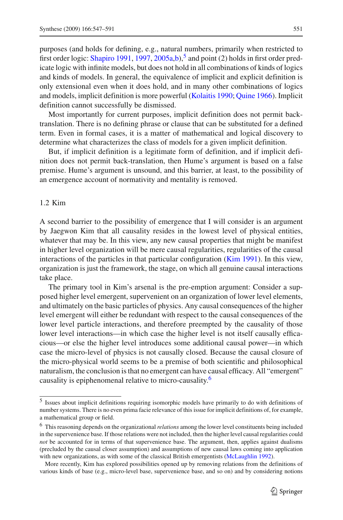purposes (and holds for defining, e.g., natural numbers, primarily when restricted to first order logic: [Shapiro 1991,](#page-43-9) [1997,](#page-43-10) [2005a](#page-43-7)[,b](#page-43-8)),<sup>[5](#page-4-0)</sup> and point (2) holds in first order predicate logic with infinite models, but does not hold in all combinations of kinds of logics and kinds of models. In general, the equivalence of implicit and explicit definition is only extensional even when it does hold, and in many other combinations of logics and models, implicit definition is more powerful [\(Kolaitis 1990](#page-42-8); [Quine 1966\)](#page-43-11). Implicit definition cannot successfully be dismissed.

Most importantly for current purposes, implicit definition does not permit backtranslation. There is no defining phrase or clause that can be substituted for a defined term. Even in formal cases, it is a matter of mathematical and logical discovery to determine what characterizes the class of models for a given implicit definition.

But, if implicit definition is a legitimate form of definition, and if implicit definition does not permit back-translation, then Hume's argument is based on a false premise. Hume's argument is unsound, and this barrier, at least, to the possibility of an emergence account of normativity and mentality is removed.

#### 1.2 Kim

A second barrier to the possibility of emergence that I will consider is an argument by Jaegwon Kim that all causality resides in the lowest level of physical entities, whatever that may be. In this view, any new causal properties that might be manifest in higher level organization will be mere causal regularities, regularities of the causal interactions of the particles in that particular configuration [\(Kim 1991\)](#page-42-9). In this view, organization is just the framework, the stage, on which all genuine causal interactions take place.

The primary tool in Kim's arsenal is the pre-emption argument: Consider a supposed higher level emergent, supervenient on an organization of lower level elements, and ultimately on the basic particles of physics. Any causal consequences of the higher level emergent will either be redundant with respect to the causal consequences of the lower level particle interactions, and therefore preempted by the causality of those lower level interactions—in which case the higher level is not itself causally efficacious—or else the higher level introduces some additional causal power—in which case the micro-level of physics is not causally closed. Because the causal closure of the micro-physical world seems to be a premise of both scientific and philosophical naturalism, the conclusion is that no emergent can have causal efficacy. All "emergent" causality is epiphenomenal relative to micro-causality.<sup>6</sup>

<span id="page-4-0"></span><sup>5</sup> Issues about implicit definitions requiring isomorphic models have primarily to do with definitions of number systems. There is no even prima facie relevance of this issue for implicit definitions of, for example, a mathematical group or field.

<span id="page-4-1"></span><sup>6</sup> This reasoning depends on the organizational*relations* among the lower level constituents being included in the supervenience base. If those relations were not included, then the higher level causal regularities could *not* be accounted for in terms of that supervenience base. The argument, then, applies against dualisms (precluded by the causal closer assumption) and assumptions of new causal laws coming into application with new organizations, as with some of the classical British emergentists [\(McLaughlin 1992\)](#page-42-10).

More recently, Kim has explored possibilities opened up by removing relations from the definitions of various kinds of base (e.g., micro-level base, supervenience base, and so on) and by considering notions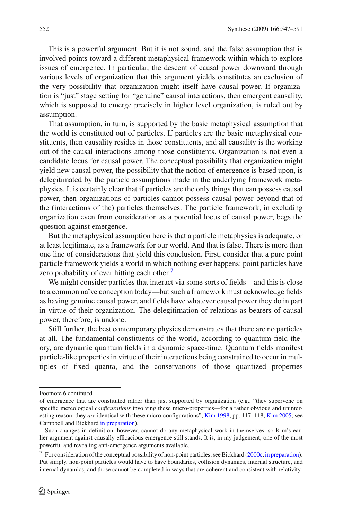This is a powerful argument. But it is not sound, and the false assumption that is involved points toward a different metaphysical framework within which to explore issues of emergence. In particular, the descent of causal power downward through various levels of organization that this argument yields constitutes an exclusion of the very possibility that organization might itself have causal power. If organization is "just" stage setting for "genuine" causal interactions, then emergent causality, which is supposed to emerge precisely in higher level organization, is ruled out by assumption.

That assumption, in turn, is supported by the basic metaphysical assumption that the world is constituted out of particles. If particles are the basic metaphysical constituents, then causality resides in those constituents, and all causality is the working out of the causal interactions among those constituents. Organization is not even a candidate locus for causal power. The conceptual possibility that organization might yield new causal power, the possibility that the notion of emergence is based upon, is delegitimated by the particle assumptions made in the underlying framework metaphysics. It is certainly clear that if particles are the only things that can possess causal power, then organizations of particles cannot possess causal power beyond that of the (interactions of the) particles themselves. The particle framework, in excluding organization even from consideration as a potential locus of causal power, begs the question against emergence.

But the metaphysical assumption here is that a particle metaphysics is adequate, or at least legitimate, as a framework for our world. And that is false. There is more than one line of considerations that yield this conclusion. First, consider that a pure point particle framework yields a world in which nothing ever happens: point particles have zero probability of ever hitting each other.<sup>[7](#page-5-0)</sup>

We might consider particles that interact via some sorts of fields—and this is close to a common naïve conception today—but such a framework must acknowledge fields as having genuine causal power, and fields have whatever causal power they do in part in virtue of their organization. The delegitimation of relations as bearers of causal power, therefore, is undone.

Still further, the best contemporary physics demonstrates that there are no particles at all. The fundamental constituents of the world, according to quantum field theory, are dynamic quantum fields in a dynamic space-time. Quantum fields manifest particle-like properties in virtue of their interactions being constrained to occur in multiples of fixed quanta, and the conservations of those quantized properties

Footnote 6 continued

of emergence that are constituted rather than just supported by organization (e.g., "they supervene on specific mereological *configurations* involving these micro-properties—for a rather obvious and uninteresting reason: they *are* identical with these micro-configurations", [Kim 1998](#page-42-11), pp. 117–118; [Kim 2005;](#page-42-12) see Campbell and Bickhard [in preparation\)](#page-41-6).

Such changes in definition, however, cannot do any metaphysical work in themselves, so Kim's earlier argument against causally efficacious emergence still stands. It is, in my judgement, one of the most powerful and revealing anti-emergence arguments available.

<span id="page-5-0"></span> $^7$  For consideration of the conceptual possibility of non-point particles, see Bickhard [\(2000c,](#page-40-1) [in preparation](#page-41-5)). Put simply, non-point particles would have to have boundaries, collision dynamics, internal structure, and internal dynamics, and those cannot be completed in ways that are coherent and consistent with relativity.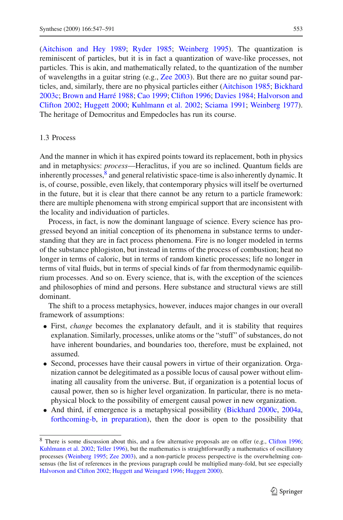[\(Aitchison and Hey 1989](#page-40-2); [Ryder 1985](#page-43-12); [Weinberg 1995](#page-43-13)). The quantization is reminiscent of particles, but it is in fact a quantization of wave-like processes, not particles. This is akin, and mathematically related, to the quantization of the number of wavelengths in a guitar string (e.g., [Zee 2003\)](#page-44-1). But there are no guitar sound particles, and, similarly, there are no physical particles either [\(Aitchison 1985](#page-40-3); [Bickhard](#page-40-4) [2003c](#page-40-4); [Brown and Harré 1988](#page-41-7)[;](#page-42-13) [Cao 1999](#page-41-8); [Clifton 1996](#page-41-9); [Davies 1984;](#page-41-10) Halvorson and Clifton [2002;](#page-42-13) [Huggett 2000;](#page-42-14) [Kuhlmann et al. 2002;](#page-42-15) [Sciama 1991](#page-43-14); [Weinberg 1977](#page-43-15)). The heritage of Democritus and Empedocles has run its course.

#### 1.3 Process

And the manner in which it has expired points toward its replacement, both in physics and in metaphysics: *process*—Heraclitus, if you are so inclined. Quantum fields are inherently processes, $\frac{8}{3}$  and general relativistic space-time is also inherently dynamic. It is, of course, possible, even likely, that contemporary physics will itself be overturned in the future, but it is clear that there cannot be any return to a particle framework: there are multiple phenomena with strong empirical support that are inconsistent with the locality and individuation of particles.

Process, in fact, is now the dominant language of science. Every science has progressed beyond an initial conception of its phenomena in substance terms to understanding that they are in fact process phenomena. Fire is no longer modeled in terms of the substance phlogiston, but instead in terms of the process of combustion; heat no longer in terms of caloric, but in terms of random kinetic processes; life no longer in terms of vital fluids, but in terms of special kinds of far from thermodynamic equilibrium processes. And so on. Every science, that is, with the exception of the sciences and philosophies of mind and persons. Here substance and structural views are still dominant.

The shift to a process metaphysics, however, induces major changes in our overall framework of assumptions:

- First, *change* becomes the explanatory default, and it is stability that requires explanation. Similarly, processes, unlike atoms or the "stuff" of substances, do not have inherent boundaries, and boundaries too, therefore, must be explained, not assumed.
- Second, processes have their causal powers in virtue of their organization. Organization cannot be delegitimated as a possible locus of causal power without eliminating all causality from the universe. But, if organization is a potential locus of causal power, then so is higher level organization. In particular, there is no metaphysical block to the possibility of emergent causal power in new organization.
- And third, if emergence is a metaphysical possibility [\(Bickhard 2000c](#page-40-1), [2004a,](#page-40-5) [forthcoming-b,](#page-41-11) [in preparation](#page-41-5)), then the door is open to the possibility that

<span id="page-6-0"></span><sup>&</sup>lt;sup>8</sup> There is some discussion about this, and a few alternative proposals are on offer (e.g., [Clifton 1996;](#page-41-9) [Kuhlmann et al. 2002;](#page-42-15) [Teller 1996](#page-43-16)), but the mathematics is straightforwardly a mathematics of oscillatory processes [\(Weinberg 1995;](#page-43-13) [Zee 2003](#page-44-1)), and a non-particle process perspective is the overwhelming consensus (the list of references in the previous paragraph could be multiplied many-fold, but see especially [Halvorson and Clifton 2002;](#page-42-13) [Huggett and Weingard 1996;](#page-42-16) [Huggett 2000\)](#page-42-14).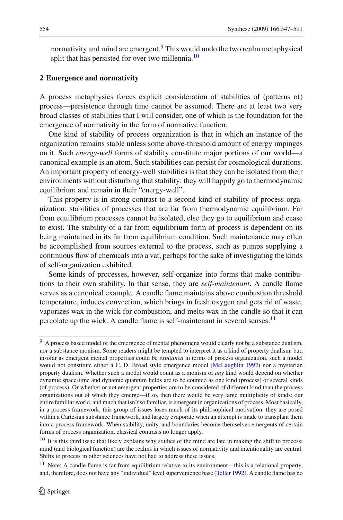normativity and mind are emergent.<sup>9</sup> This would undo the two realm metaphysical split that has persisted for over two millennia. $10$ 

### **2 Emergence and normativity**

A process metaphysics forces explicit consideration of stabilities of (patterns of) process—persistence through time cannot be assumed. There are at least two very broad classes of stabilities that I will consider, one of which is the foundation for the emergence of normativity in the form of normative function.

One kind of stability of process organization is that in which an instance of the organization remains stable unless some above-threshold amount of energy impinges on it. Such *energy-well* forms of stability constitute major portions of our world—a canonical example is an atom. Such stabilities can persist for cosmological durations. An important property of energy-well stabilities is that they can be isolated from their environments without disturbing that stability: they will happily go to thermodynamic equilibrium and remain in their "energy-well".

This property is in strong contrast to a second kind of stability of process organization: stabilities of processes that are far from thermodynamic equilibrium. Far from equilibrium processes cannot be isolated, else they go to equilibrium and cease to exist. The stability of a far from equilibrium form of process is dependent on its being maintained in its far from equilibrium condition. Such maintenance may often be accomplished from sources external to the process, such as pumps supplying a continuous flow of chemicals into a vat, perhaps for the sake of investigating the kinds of self-organization exhibited.

Some kinds of processes, however, self-organize into forms that make contributions to their own stability. In that sense, they are *self-maintenant*. A candle flame serves as a canonical example. A candle flame maintains above combustion threshold temperature, induces convection, which brings in fresh oxygen and gets rid of waste, vaporizes wax in the wick for combustion, and melts wax in the candle so that it can percolate up the wick. A candle flame is self-maintenant in several senses.<sup>[11](#page-7-2)</sup>

<span id="page-7-0"></span><sup>&</sup>lt;sup>9</sup> A process based model of the emergence of mental phenomena would clearly not be a substance dualism, nor a substance monism. Some readers might be tempted to interpret it as a kind of property dualism, but, insofar as emergent mental properties could be *explained* in terms of process organization, such a model would not constitute either a C. D. Broad style emergence model [\(McLaughlin 1992\)](#page-42-10) nor a mysterian property dualism. Whether such a model would count as a monism of *any* kind would depend on whether dynamic space-time and dynamic quantum fields are to be counted as one kind (process) or several kinds (of process). Or whether or not emergent properties are to be considered of different kind than the process organizations out of which they emerge—if so, then there would be very large multiplicity of kinds: our entire familiar world, and much that isn't so familiar, is emergent in organizations of process. Most basically, in a process framework, this group of issues loses much of its philosophical motivation: they are posed within a Cartesian substance framework, and largely evaporate when an attempt is made to transplant them into a process framework. When stability, unity, and boundaries become themselves emergents of certain forms of process organization, classical contrasts no longer apply.

<span id="page-7-1"></span><sup>&</sup>lt;sup>10</sup> It is this third issue that likely explains why studies of the mind are late in making the shift to process: mind (and biological function) are the realms in which issues of normativity and intentionality are central. Shifts to process in other sciences have not had to address these issues.

<span id="page-7-2"></span><sup>&</sup>lt;sup>11</sup> Note: A candle flame is far from equilibrium relative to its environment—this is a relational property, and, therefore, does not have any "individual" level supervenience base [\(Teller 1992](#page-43-17)). A candle flame has no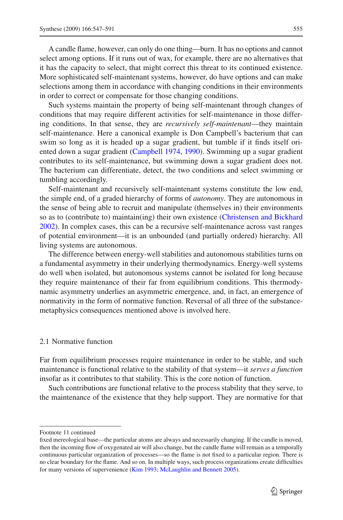A candle flame, however, can only do one thing—burn. It has no options and cannot select among options. If it runs out of wax, for example, there are no alternatives that it has the capacity to select, that might correct this threat to its continued existence. More sophisticated self-maintenant systems, however, do have options and can make selections among them in accordance with changing conditions in their environments in order to correct or compensate for those changing conditions.

Such systems maintain the property of being self-maintenant through changes of conditions that may require different activities for self-maintenance in those differing conditions. In that sense, they are *recursively self-maintenant*—they maintain self-maintenance. Here a canonical example is Don Campbell's bacterium that can swim so long as it is headed up a sugar gradient, but tumble if it finds itself oriented down a sugar gradient [\(Campbell 1974](#page-41-12), [1990](#page-41-13)). Swimming up a sugar gradient contributes to its self-maintenance, but swimming down a sugar gradient does not. The bacterium can differentiate, detect, the two conditions and select swimming or tumbling accordingly.

Self-maintenant and recursively self-maintenant systems constitute the low end, the simple end, of a graded hierarchy of forms of *autonomy*. They are autonomous in the sense of being able to recruit and manipulate (themselves in) their environments so as to (contribute to) maintain(ing) their own existence [\(Christensen and Bickhard](#page-41-14) [2002\)](#page-41-14). In complex cases, this can be a recursive self-maintenance across vast ranges of potential environment—it is an unbounded (and partially ordered) hierarchy. All living systems are autonomous.

The difference between energy-well stabilities and autonomous stabilities turns on a fundamental asymmetry in their underlying thermodynamics. Energy-well systems do well when isolated, but autonomous systems cannot be isolated for long because they require maintenance of their far from equilibrium conditions. This thermodynamic asymmetry underlies an asymmetric emergence, and, in fact, an emergence of normativity in the form of normative function. Reversal of all three of the substancemetaphysics consequences mentioned above is involved here.

#### 2.1 Normative function

Far from equilibrium processes require maintenance in order to be stable, and such maintenance is functional relative to the stability of that system—it *serves a function* insofar as it contributes to that stability. This is the core notion of function.

Such contributions are functional relative to the process stability that they serve, to the maintenance of the existence that they help support. They are normative for that

Footnote 11 continued

fixed mereological base—the particular atoms are always and necessarily changing. If the candle is moved, then the incoming flow of oxygenated air will also change, but the candle flame will remain as a temporally continuous particular organization of processes—so the flame is not fixed to a particular region. There is no clear boundary for the flame. And so on. In multiple ways, such process organizations create difficulties for many versions of supervenience [\(Kim 1993;](#page-42-17) [McLaughlin and Bennett 2005\)](#page-43-18).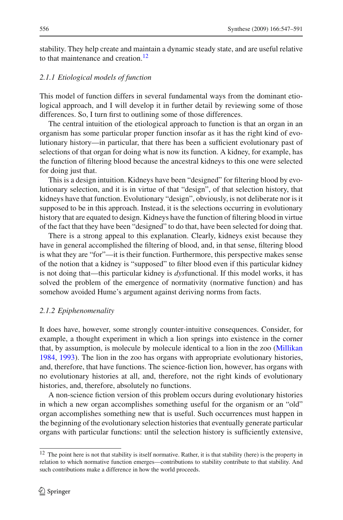stability. They help create and maintain a dynamic steady state, and are useful relative to that maintenance and creation.<sup>12</sup>

#### *2.1.1 Etiological models of function*

This model of function differs in several fundamental ways from the dominant etiological approach, and I will develop it in further detail by reviewing some of those differences. So, I turn first to outlining some of those differences.

The central intuition of the etiological approach to function is that an organ in an organism has some particular proper function insofar as it has the right kind of evolutionary history—in particular, that there has been a sufficient evolutionary past of selections of that organ for doing what is now its function. A kidney, for example, has the function of filtering blood because the ancestral kidneys to this one were selected for doing just that.

This is a design intuition. Kidneys have been "designed" for filtering blood by evolutionary selection, and it is in virtue of that "design", of that selection history, that kidneys have that function. Evolutionary "design", obviously, is not deliberate nor is it supposed to be in this approach. Instead, it is the selections occurring in evolutionary history that are equated to design. Kidneys have the function of filtering blood in virtue of the fact that they have been "designed" to do that, have been selected for doing that.

There is a strong appeal to this explanation. Clearly, kidneys exist because they have in general accomplished the filtering of blood, and, in that sense, filtering blood is what they are "for"—it is their function. Furthermore, this perspective makes sense of the notion that a kidney is "supposed" to filter blood even if this particular kidney is not doing that—this particular kidney is *dys*functional. If this model works, it has solved the problem of the emergence of normativity (normative function) and has somehow avoided Hume's argument against deriving norms from facts.

#### *2.1.2 Epiphenomenality*

It does have, however, some strongly counter-intuitive consequences. Consider, for example, a thought experiment in which a lion springs into existence in the corner that, by assumption, is molecule by molecule identical to a lion in the zoo [\(Millikan](#page-43-19) [1984,](#page-43-19) [1993\)](#page-43-20). The lion in the zoo has organs with appropriate evolutionary histories, and, therefore, that have functions. The science-fiction lion, however, has organs with no evolutionary histories at all, and, therefore, not the right kinds of evolutionary histories, and, therefore, absolutely no functions.

A non-science fiction version of this problem occurs during evolutionary histories in which a new organ accomplishes something useful for the organism or an "old" organ accomplishes something new that is useful. Such occurrences must happen in the beginning of the evolutionary selection histories that eventually generate particular organs with particular functions: until the selection history is sufficiently extensive,

<span id="page-9-0"></span> $12$  The point here is not that stability is itself normative. Rather, it is that stability (here) is the property in relation to which normative function emerges—contributions to stability contribute to that stability. And such contributions make a difference in how the world proceeds.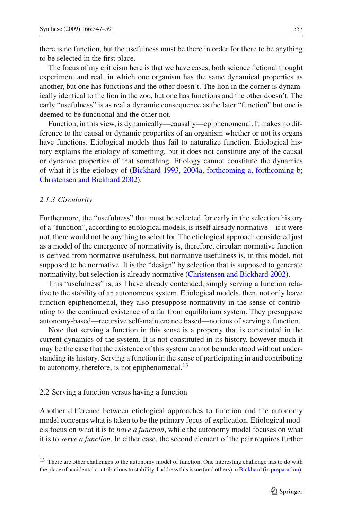there is no function, but the usefulness must be there in order for there to be anything to be selected in the first place.

The focus of my criticism here is that we have cases, both science fictional thought experiment and real, in which one organism has the same dynamical properties as another, but one has functions and the other doesn't. The lion in the corner is dynamically identical to the lion in the zoo, but one has functions and the other doesn't. The early "usefulness" is as real a dynamic consequence as the later "function" but one is deemed to be functional and the other not.

Function, in this view, is dynamically—causally—epiphenomenal. It makes no difference to the causal or dynamic properties of an organism whether or not its organs have functions. Etiological models thus fail to naturalize function. Etiological history explains the etiology of something, but it does not constitute any of the causal or dynamic properties of that something. Etiology cannot constitute the dynamics of what it is the etiology of [\(Bickhard 1993](#page-40-6), [2004a](#page-40-5), [forthcoming-a](#page-40-7), [forthcoming-b](#page-41-11); [Christensen and Bickhard 2002](#page-41-14)).

## *2.1.3 Circularity*

Furthermore, the "usefulness" that must be selected for early in the selection history of a "function", according to etiological models, is itself already normative—if it were not, there would not be anything to select for. The etiological approach considered just as a model of the emergence of normativity is, therefore, circular: normative function is derived from normative usefulness, but normative usefulness is, in this model, not supposed to be normative. It is the "design" by selection that is supposed to generate normativity, but selection is already normative [\(Christensen and Bickhard 2002](#page-41-14)).

This "usefulness" is, as I have already contended, simply serving a function relative to the stability of an autonomous system. Etiological models, then, not only leave function epiphenomenal, they also presuppose normativity in the sense of contributing to the continued existence of a far from equilibrium system. They presuppose autonomy-based—recursive self-maintenance based—notions of serving a function.

Note that serving a function in this sense is a property that is constituted in the current dynamics of the system. It is not constituted in its history, however much it may be the case that the existence of this system cannot be understood without understanding its history. Serving a function in the sense of participating in and contributing to autonomy, therefore, is not epiphenomenal. $^{13}$ 

## 2.2 Serving a function versus having a function

Another difference between etiological approaches to function and the autonomy model concerns what is taken to be the primary focus of explication. Etiological models focus on what it is to *have a function*, while the autonomy model focuses on what it is to *serve a function*. In either case, the second element of the pair requires further

<span id="page-10-0"></span><sup>&</sup>lt;sup>13</sup> There are other challenges to the autonomy model of function. One interesting challenge has to do with the place of accidental contributions to stability. I address this issue (and others) in Bickhard [\(in preparation](#page-41-5)).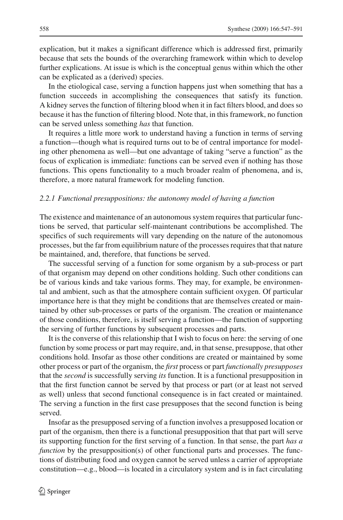explication, but it makes a significant difference which is addressed first, primarily because that sets the bounds of the overarching framework within which to develop further explications. At issue is which is the conceptual genus within which the other can be explicated as a (derived) species.

In the etiological case, serving a function happens just when something that has a function succeeds in accomplishing the consequences that satisfy its function. A kidney serves the function of filtering blood when it in fact filters blood, and does so because it has the function of filtering blood. Note that, in this framework, no function can be served unless something *has* that function.

It requires a little more work to understand having a function in terms of serving a function—though what is required turns out to be of central importance for modeling other phenomena as well—but one advantage of taking "serve a function" as the focus of explication is immediate: functions can be served even if nothing has those functions. This opens functionality to a much broader realm of phenomena, and is, therefore, a more natural framework for modeling function.

## *2.2.1 Functional presuppositions: the autonomy model of having a function*

The existence and maintenance of an autonomous system requires that particular functions be served, that particular self-maintenant contributions be accomplished. The specifics of such requirements will vary depending on the nature of the autonomous processes, but the far from equilibrium nature of the processes requires that that nature be maintained, and, therefore, that functions be served.

The successful serving of a function for some organism by a sub-process or part of that organism may depend on other conditions holding. Such other conditions can be of various kinds and take various forms. They may, for example, be environmental and ambient, such as that the atmosphere contain sufficient oxygen. Of particular importance here is that they might be conditions that are themselves created or maintained by other sub-processes or parts of the organism. The creation or maintenance of those conditions, therefore, is itself serving a function—the function of supporting the serving of further functions by subsequent processes and parts.

It is the converse of this relationship that I wish to focus on here: the serving of one function by some process or part may require, and, in that sense, presuppose, that other conditions hold. Insofar as those other conditions are created or maintained by some other process or part of the organism, the *first* process or part *functionally presupposes* that the *second* is successfully serving *its* function. It is a functional presupposition in that the first function cannot be served by that process or part (or at least not served as well) unless that second functional consequence is in fact created or maintained. The serving a function in the first case presupposes that the second function is being served.

Insofar as the presupposed serving of a function involves a presupposed location or part of the organism, then there is a functional presupposition that that part will serve its supporting function for the first serving of a function. In that sense, the part *has a function* by the presupposition(s) of other functional parts and processes. The functions of distributing food and oxygen cannot be served unless a carrier of appropriate constitution—e.g., blood—is located in a circulatory system and is in fact circulating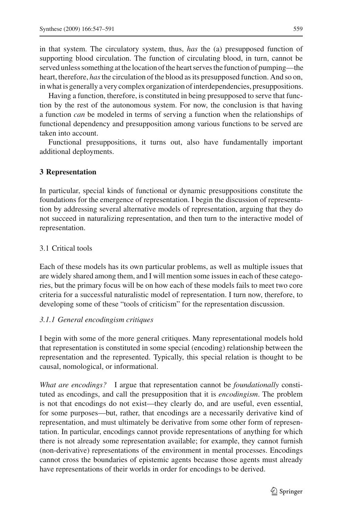in that system. The circulatory system, thus, *has* the (a) presupposed function of supporting blood circulation. The function of circulating blood, in turn, cannot be served unless something at the location of the heart serves the function of pumping—the heart, therefore, *has*the circulation of the blood as its presupposed function. And so on, in what is generally a very complex organization of interdependencies, presuppositions.

Having a function, therefore, is constituted in being presupposed to serve that function by the rest of the autonomous system. For now, the conclusion is that having a function *can* be modeled in terms of serving a function when the relationships of functional dependency and presupposition among various functions to be served are taken into account.

Functional presuppositions, it turns out, also have fundamentally important additional deployments.

## **3 Representation**

In particular, special kinds of functional or dynamic presuppositions constitute the foundations for the emergence of representation. I begin the discussion of representation by addressing several alternative models of representation, arguing that they do not succeed in naturalizing representation, and then turn to the interactive model of representation.

# 3.1 Critical tools

Each of these models has its own particular problems, as well as multiple issues that are widely shared among them, and I will mention some issues in each of these categories, but the primary focus will be on how each of these models fails to meet two core criteria for a successful naturalistic model of representation. I turn now, therefore, to developing some of these "tools of criticism" for the representation discussion.

#### *3.1.1 General encodingism critiques*

I begin with some of the more general critiques. Many representational models hold that representation is constituted in some special (encoding) relationship between the representation and the represented. Typically, this special relation is thought to be causal, nomological, or informational.

*What are encodings?* I argue that representation cannot be *foundationally* constituted as encodings, and call the presupposition that it is *encodingism*. The problem is not that encodings do not exist—they clearly do, and are useful, even essential, for some purposes—but, rather, that encodings are a necessarily derivative kind of representation, and must ultimately be derivative from some other form of representation. In particular, encodings cannot provide representations of anything for which there is not already some representation available; for example, they cannot furnish (non-derivative) representations of the environment in mental processes. Encodings cannot cross the boundaries of epistemic agents because those agents must already have representations of their worlds in order for encodings to be derived.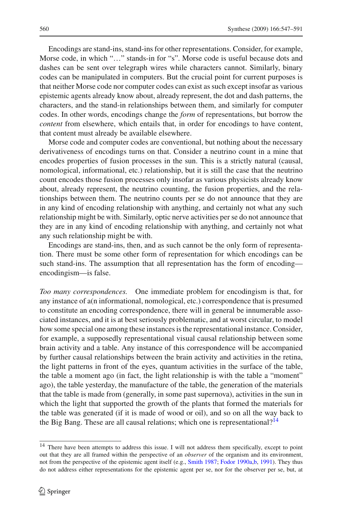Encodings are stand-ins, stand-ins for other representations. Consider, for example, Morse code, in which "…" stands-in for "s". Morse code is useful because dots and dashes can be sent over telegraph wires while characters cannot. Similarly, binary codes can be manipulated in computers. But the crucial point for current purposes is that neither Morse code nor computer codes can exist as such except insofar as various epistemic agents already know about, already represent, the dot and dash patterns, the characters, and the stand-in relationships between them, and similarly for computer codes. In other words, encodings change the *form* of representations, but borrow the *content* from elsewhere, which entails that, in order for encodings to have content, that content must already be available elsewhere.

Morse code and computer codes are conventional, but nothing about the necessary derivativeness of encodings turns on that. Consider a neutrino count in a mine that encodes properties of fusion processes in the sun. This is a strictly natural (causal, nomological, informational, etc.) relationship, but it is still the case that the neutrino count encodes those fusion processes only insofar as various physicists already know about, already represent, the neutrino counting, the fusion properties, and the relationships between them. The neutrino counts per se do not announce that they are in any kind of encoding relationship with anything, and certainly not what any such relationship might be with. Similarly, optic nerve activities per se do not announce that they are in any kind of encoding relationship with anything, and certainly not what any such relationship might be with.

Encodings are stand-ins, then, and as such cannot be the only form of representation. There must be some other form of representation for which encodings can be such stand-ins. The assumption that all representation has the form of encoding encodingism—is false.

*Too many correspondences.* One immediate problem for encodingism is that, for any instance of a(n informational, nomological, etc.) correspondence that is presumed to constitute an encoding correspondence, there will in general be innumerable associated instances, and it is at best seriously problematic, and at worst circular, to model how some special one among these instances is the representational instance. Consider, for example, a supposedly representational visual causal relationship between some brain activity and a table. Any instance of this correspondence will be accompanied by further causal relationships between the brain activity and activities in the retina, the light patterns in front of the eyes, quantum activities in the surface of the table, the table a moment ago (in fact, the light relationship is with the table a "moment" ago), the table yesterday, the manufacture of the table, the generation of the materials that the table is made from (generally, in some past supernova), activities in the sun in which the light that supported the growth of the plants that formed the materials for the table was generated (if it is made of wood or oil), and so on all the way back to the Big Bang. These are all causal relations; which one is representational?<sup>14</sup>

<span id="page-13-0"></span><sup>&</sup>lt;sup>14</sup> There have been attempts to address this issue. I will not address them specifically, except to point out that they are all framed within the perspective of an *observer* of the organism and its environment, not from the perspective of the epistemic agent itself (e.g., [Smith 1987](#page-43-21); [Fodor 1990a](#page-41-15)[,b](#page-41-16), [1991](#page-41-17)). They thus do not address either representations for the epistemic agent per se, nor for the observer per se, but, at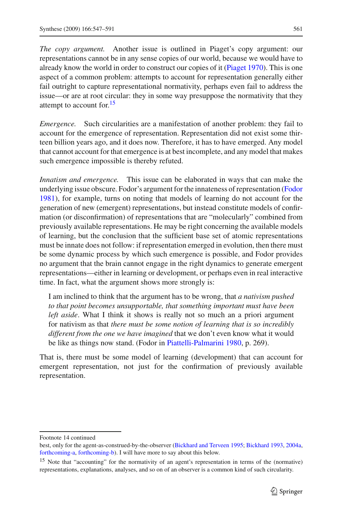*The copy argument.* Another issue is outlined in Piaget's copy argument: our representations cannot be in any sense copies of our world, because we would have to already know the world in order to construct our copies of it [\(Piaget 1970](#page-43-22)). This is one aspect of a common problem: attempts to account for representation generally either fail outright to capture representational normativity, perhaps even fail to address the issue—or are at root circular: they in some way presuppose the normativity that they attempt to account for.<sup>[15](#page-14-0)</sup>

*Emergence.* Such circularities are a manifestation of another problem: they fail to account for the emergence of representation. Representation did not exist some thirteen billion years ago, and it does now. Therefore, it has to have emerged. Any model that cannot account for that emergence is at best incomplete, and any model that makes such emergence impossible is thereby refuted.

*Innatism and emergence.* This issue can be elaborated in ways that can make the underlying issue obscure. Fodor's argument for the innateness of representation [\(Fodor](#page-41-18) [1981\)](#page-41-18), for example, turns on noting that models of learning do not account for the generation of new (emergent) representations, but instead constitute models of confirmation (or disconfirmation) of representations that are "molecularly" combined from previously available representations. He may be right concerning the available models of learning, but the conclusion that the sufficient base set of atomic representations must be innate does not follow: if representation emerged in evolution, then there must be some dynamic process by which such emergence is possible, and Fodor provides no argument that the brain cannot engage in the right dynamics to generate emergent representations—either in learning or development, or perhaps even in real interactive time. In fact, what the argument shows more strongly is:

I am inclined to think that the argument has to be wrong, that *a nativism pushed to that point becomes unsupportable, that something important must have been left aside*. What I think it shows is really not so much an a priori argument for nativism as that *there must be some notion of learning that is so incredibly different from the one we have imagined* that we don't even know what it would be like as things now stand. (Fodor in [Piattelli-Palmarini 1980](#page-43-23), p. 269).

That is, there must be some model of learning (development) that can account for emergent representation, not just for the confirmation of previously available representation.

Footnote 14 continued

best, only for the agent-as-construed-by-the-observer [\(Bickhard and Terveen 1995;](#page-41-4) [Bickhard 1993,](#page-40-6) [2004a](#page-40-5), [forthcoming-a](#page-40-7), [forthcoming-b](#page-41-11)). I will have more to say about this below.

<span id="page-14-0"></span><sup>&</sup>lt;sup>15</sup> Note that "accounting" for the normativity of an agent's representation in terms of the (normative) representations, explanations, analyses, and so on of an observer is a common kind of such circularity.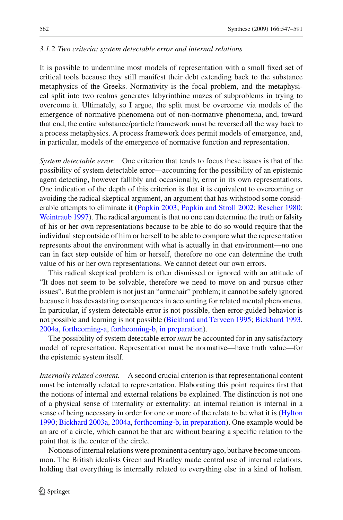#### *3.1.2 Two criteria: system detectable error and internal relations*

It is possible to undermine most models of representation with a small fixed set of critical tools because they still manifest their debt extending back to the substance metaphysics of the Greeks. Normativity is the focal problem, and the metaphysical split into two realms generates labyrinthine mazes of subproblems in trying to overcome it. Ultimately, so I argue, the split must be overcome via models of the emergence of normative phenomena out of non-normative phenomena, and, toward that end, the entire substance/particle framework must be reversed all the way back to a process metaphysics. A process framework does permit models of emergence, and, in particular, models of the emergence of normative function and representation.

*System detectable error.* One criterion that tends to focus these issues is that of the possibility of system detectable error—accounting for the possibility of an epistemic agent detecting, however fallibly and occasionally, error in its own representations. One indication of the depth of this criterion is that it is equivalent to overcoming or avoiding the radical skeptical argument, an argument that has withstood some considerable attempts to eliminate it [\(Popkin 2003;](#page-43-24) [Popkin and Stroll 2002](#page-43-25); [Rescher 1980](#page-43-26); [Weintraub 1997\)](#page-43-27). The radical argument is that no one can determine the truth or falsity of his or her own representations because to be able to do so would require that the individual step outside of him or herself to be able to compare what the representation represents about the environment with what is actually in that environment—no one can in fact step outside of him or herself, therefore no one can determine the truth value of his or her own representations. We cannot detect our own errors.

This radical skeptical problem is often dismissed or ignored with an attitude of "It does not seem to be solvable, therefore we need to move on and pursue other issues". But the problem is not just an "armchair" problem; it cannot be safely ignored because it has devastating consequences in accounting for related mental phenomena. In particular, if system detectable error is not possible, then error-guided behavior is not possible and learning is not possible [\(Bickhard and Terveen 1995](#page-41-4); [Bickhard 1993,](#page-40-6) [2004a](#page-40-5), [forthcoming-a](#page-40-7), [forthcoming-b,](#page-41-11) [in preparation](#page-41-5)).

The possibility of system detectable error *must* be accounted for in any satisfactory model of representation. Representation must be normative—have truth value—for the epistemic system itself.

*Internally related content.* A second crucial criterion is that representational content must be internally related to representation. Elaborating this point requires first that the notions of internal and external relations be explained. The distinction is not one of a physical sense of internality or externality: an internal relation is internal in a sense of being necessary in order for one or more of the relata to be what it is [\(Hylton](#page-42-18) [1990;](#page-42-18) [Bickhard 2003a](#page-40-8), [2004a](#page-40-5), [forthcoming-b,](#page-41-11) [in preparation](#page-41-5)). One example would be an arc of a circle, which cannot be that arc without bearing a specific relation to the point that is the center of the circle.

Notions of internal relations were prominent a century ago, but have become uncommon. The British idealists Green and Bradley made central use of internal relations, holding that everything is internally related to everything else in a kind of holism.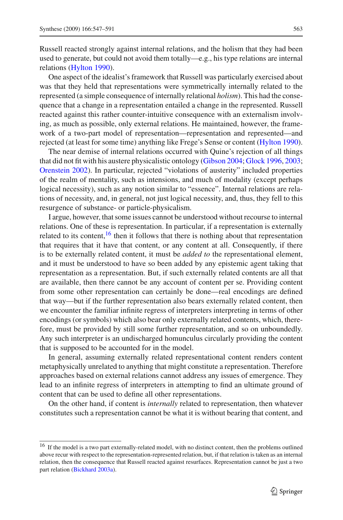Russell reacted strongly against internal relations, and the holism that they had been used to generate, but could not avoid them totally—e.g., his type relations are internal relations [\(Hylton 1990\)](#page-42-18).

One aspect of the idealist's framework that Russell was particularly exercised about was that they held that representations were symmetrically internally related to the represented (a simple consequence of internally relational *holism*). This had the consequence that a change in a representation entailed a change in the represented. Russell reacted against this rather counter-intuitive consequence with an externalism involving, as much as possible, only external relations. He maintained, however, the framework of a two-part model of representation—representation and represented—and rejected (at least for some time) anything like Frege's Sense or content [\(Hylton 1990](#page-42-18)).

The near demise of internal relations occurred with Quine's rejection of all things that did not fit with his austere physicalistic ontology [\(Gibson 2004;](#page-42-19) [Glock 1996](#page-42-20), [2003](#page-42-21); [Orenstein 2002](#page-43-28)). In particular, rejected "violations of austerity" included properties of the realm of mentality, such as intensions, and much of modality (except perhaps logical necessity), such as any notion similar to "essence". Internal relations are relations of necessity, and, in general, not just logical necessity, and, thus, they fell to this resurgence of substance- or particle-physicalism.

I argue, however, that some issues cannot be understood without recourse to internal relations. One of these is representation. In particular, if a representation is externally related to its content,<sup>[16](#page-16-0)</sup> then it follows that there is nothing about that representation that requires that it have that content, or any content at all. Consequently, if there is to be externally related content, it must be *added to* the representational element, and it must be understood to have so been added by any epistemic agent taking that representation as a representation. But, if such externally related contents are all that are available, then there cannot be any account of content per se. Providing content from some other representation can certainly be done—real encodings are defined that way—but if the further representation also bears externally related content, then we encounter the familiar infinite regress of interpreters interpreting in terms of other encodings (or symbols) which also bear only externally related contents, which, therefore, must be provided by still some further representation, and so on unboundedly. Any such interpreter is an undischarged homunculus circularly providing the content that is supposed to be accounted for in the model.

In general, assuming externally related representational content renders content metaphysically unrelated to anything that might constitute a representation. Therefore approaches based on external relations cannot address any issues of emergence. They lead to an infinite regress of interpreters in attempting to find an ultimate ground of content that can be used to define all other representations.

On the other hand, if content is *internally* related to representation, then whatever constitutes such a representation cannot be what it is without bearing that content, and

<span id="page-16-0"></span><sup>&</sup>lt;sup>16</sup> If the model is a two part externally-related model, with no distinct content, then the problems outlined above recur with respect to the representation-represented relation, but, if that relation is taken as an internal relation, then the consequence that Russell reacted against resurfaces. Representation cannot be just a two part relation [\(Bickhard 2003a\)](#page-40-8).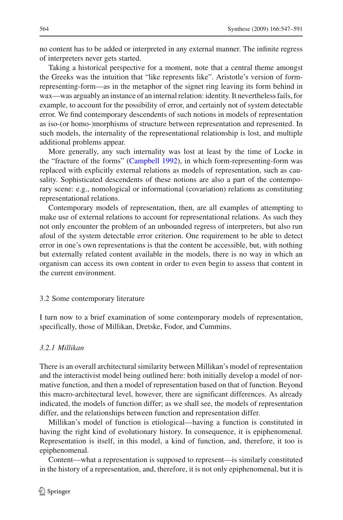no content has to be added or interpreted in any external manner. The infinite regress of interpreters never gets started.

Taking a historical perspective for a moment, note that a central theme amongst the Greeks was the intuition that "like represents like". Aristotle's version of formrepresenting-form—as in the metaphor of the signet ring leaving its form behind in wax—was arguably an instance of an internal relation: identity. It nevertheless fails, for example, to account for the possibility of error, and certainly not of system detectable error. We find contemporary descendents of such notions in models of representation as iso-(or homo-)morphisms of structure between representation and represented. In such models, the internality of the representational relationship is lost, and multiple additional problems appear.

More generally, any such internality was lost at least by the time of Locke in the "fracture of the forms" [\(Campbell 1992](#page-41-0)), in which form-representing-form was replaced with explicitly external relations as models of representation, such as causality. Sophisticated descendents of these notions are also a part of the contemporary scene: e.g., nomological or informational (covariation) relations as constituting representational relations.

Contemporary models of representation, then, are all examples of attempting to make use of external relations to account for representational relations. As such they not only encounter the problem of an unbounded regress of interpreters, but also run afoul of the system detectable error criterion. One requirement to be able to detect error in one's own representations is that the content be accessible, but, with nothing but externally related content available in the models, there is no way in which an organism can access its own content in order to even begin to assess that content in the current environment.

#### 3.2 Some contemporary literature

I turn now to a brief examination of some contemporary models of representation, specifically, those of Millikan, Dretske, Fodor, and Cummins.

#### *3.2.1 Millikan*

There is an overall architectural similarity between Millikan's model of representation and the interactivist model being outlined here: both initially develop a model of normative function, and then a model of representation based on that of function. Beyond this macro-architectural level, however, there are significant differences. As already indicated, the models of function differ; as we shall see, the models of representation differ, and the relationships between function and representation differ.

Millikan's model of function is etiological—having a function is constituted in having the right kind of evolutionary history. In consequence, it is epiphenomenal. Representation is itself, in this model, a kind of function, and, therefore, it too is epiphenomenal.

Content—what a representation is supposed to represent—is similarly constituted in the history of a representation, and, therefore, it is not only epiphenomenal, but it is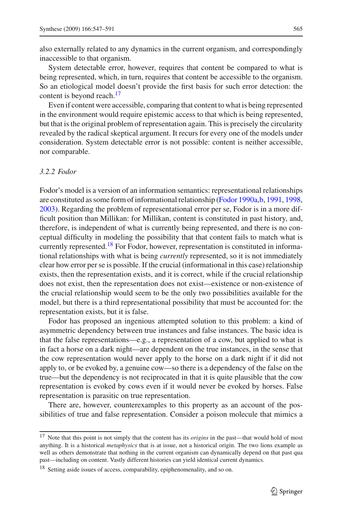also externally related to any dynamics in the current organism, and correspondingly inaccessible to that organism.

System detectable error, however, requires that content be compared to what is being represented, which, in turn, requires that content be accessible to the organism. So an etiological model doesn't provide the first basis for such error detection: the content is beyond reach.<sup>[17](#page-18-0)</sup>

Even if content were accessible, comparing that content to what is being represented in the environment would require epistemic access to that which is being represented, but that is the original problem of representation again. This is precisely the circularity revealed by the radical skeptical argument. It recurs for every one of the models under consideration. System detectable error is not possible: content is neither accessible, nor comparable.

# *3.2.2 Fodor*

Fodor's model is a version of an information semantics: representational relationships are constituted as some form of informational relationship [\(Fodor 1990a](#page-41-15)[,b,](#page-41-16) [1991](#page-41-17), [1998](#page-41-19), [2003\)](#page-41-20). Regarding the problem of representational error per se, Fodor is in a more difficult position than Millikan: for Millikan, content is constituted in past history, and, therefore, is independent of what is currently being represented, and there is no conceptual difficulty in modeling the possibility that that content fails to match what is currently represented.<sup>18</sup> For Fodor, however, representation is constituted in informational relationships with what is being *currently* represented, so it is not immediately clear how error per se is possible. If the crucial (informational in this case) relationship exists, then the representation exists, and it is correct, while if the crucial relationship does not exist, then the representation does not exist—existence or non-existence of the crucial relationship would seem to be the only two possibilities available for the model, but there is a third representational possibility that must be accounted for: the representation exists, but it is false.

Fodor has proposed an ingenious attempted solution to this problem: a kind of asymmetric dependency between true instances and false instances. The basic idea is that the false representations—e.g., a representation of a cow, but applied to what is in fact a horse on a dark night—are dependent on the true instances, in the sense that the cow representation would never apply to the horse on a dark night if it did not apply to, or be evoked by, a genuine cow—so there is a dependency of the false on the true—but the dependency is not reciprocated in that it is quite plausible that the cow representation is evoked by cows even if it would never be evoked by horses. False representation is parasitic on true representation.

There are, however, counterexamples to this property as an account of the possibilities of true and false representation. Consider a poison molecule that mimics a

<span id="page-18-0"></span><sup>17</sup> Note that this point is not simply that the content has its *origins* in the past—that would hold of most anything. It is a historical *metaphysics* that is at issue, not a historical origin. The two lions example as well as others demonstrate that nothing in the current organism can dynamically depend on that past qua past—including on content. Vastly different histories can yield identical current dynamics.

<span id="page-18-1"></span><sup>&</sup>lt;sup>18</sup> Setting aside issues of access, comparability, epiphenomenality, and so on.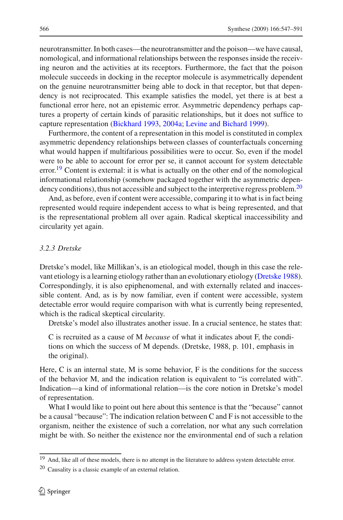neurotransmitter. In both cases—the neurotransmitter and the poison—we have causal, nomological, and informational relationships between the responses inside the receiving neuron and the activities at its receptors. Furthermore, the fact that the poison molecule succeeds in docking in the receptor molecule is asymmetrically dependent on the genuine neurotransmitter being able to dock in that receptor, but that dependency is not reciprocated. This example satisfies the model, yet there is at best a functional error here, not an epistemic error. Asymmetric dependency perhaps captures a property of certain kinds of parasitic relationships, but it does not suffice to capture representation [\(Bickhard 1993,](#page-40-6) [2004a](#page-40-5); [Levine and Bichard 1999](#page-42-22)).

Furthermore, the content of a representation in this model is constituted in complex asymmetric dependency relationships between classes of counterfactuals concerning what would happen if multifarious possibilities were to occur. So, even if the model were to be able to account for error per se, it cannot account for system detectable error.<sup>[19](#page-19-0)</sup> Content is external: it is what is actually on the other end of the nomological informational relationship (somehow packaged together with the asymmetric dependency conditions), thus not accessible and subject to the interpretive regress problem.<sup>20</sup>

And, as before, even if content were accessible, comparing it to what is in fact being represented would require independent access to what is being represented, and that is the representational problem all over again. Radical skeptical inaccessibility and circularity yet again.

#### *3.2.3 Dretske*

Dretske's model, like Millikan's, is an etiological model, though in this case the relevant etiology is a learning etiology rather than an evolutionary etiology [\(Dretske 1988](#page-41-21)). Correspondingly, it is also epiphenomenal, and with externally related and inaccessible content. And, as is by now familiar, even if content were accessible, system detectable error would require comparison with what is currently being represented, which is the radical skeptical circularity.

Dretske's model also illustrates another issue. In a crucial sentence, he states that:

C is recruited as a cause of M *because* of what it indicates about F, the conditions on which the success of M depends. (Dretske, 1988, p. 101, emphasis in the original).

Here, C is an internal state, M is some behavior, F is the conditions for the success of the behavior M, and the indication relation is equivalent to "is correlated with". Indication—a kind of informational relation—is the core notion in Dretske's model of representation.

What I would like to point out here about this sentence is that the "because" cannot be a causal "because": The indication relation between C and F is not accessible to the organism, neither the existence of such a correlation, nor what any such correlation might be with. So neither the existence nor the environmental end of such a relation

<sup>&</sup>lt;sup>19</sup> And, like all of these models, there is no attempt in the literature to address system detectable error.

<span id="page-19-1"></span><span id="page-19-0"></span><sup>20</sup> Causality is a classic example of an external relation.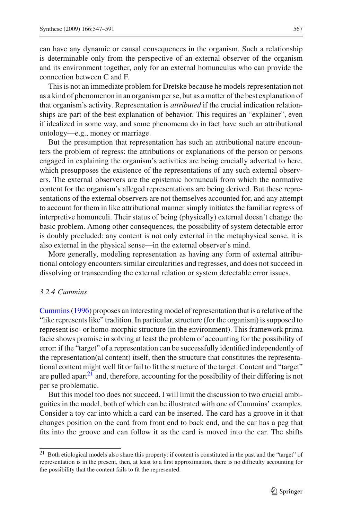can have any dynamic or causal consequences in the organism. Such a relationship is determinable only from the perspective of an external observer of the organism and its environment together, only for an external homunculus who can provide the connection between C and F.

This is not an immediate problem for Dretske because he models representation not as a kind of phenomenon in an organism per se, but as a matter of the best explanation of that organism's activity. Representation is *attributed* if the crucial indication relationships are part of the best explanation of behavior. This requires an "explainer", even if idealized in some way, and some phenomena do in fact have such an attributional ontology—e.g., money or marriage.

But the presumption that representation has such an attributional nature encounters the problem of regress: the attributions or explanations of the person or persons engaged in explaining the organism's activities are being crucially adverted to here, which presupposes the existence of the representations of any such external observers. The external observers are the epistemic homunculi from which the normative content for the organism's alleged representations are being derived. But these representations of the external observers are not themselves accounted for, and any attempt to account for them in like attributional manner simply initiates the familiar regress of interpretive homunculi. Their status of being (physically) external doesn't change the basic problem. Among other consequences, the possibility of system detectable error is doubly precluded: any content is not only external in the metaphysical sense, it is also external in the physical sense—in the external observer's mind.

More generally, modeling representation as having any form of external attributional ontology encounters similar circularities and regresses, and does not succeed in dissolving or transcending the external relation or system detectable error issues.

#### *3.2.4 Cummins*

Cummins[\(1996](#page-41-22)) proposes an interesting model of representation that is a relative of the "like represents like" tradition. In particular, structure (for the organism) is supposed to represent iso- or homo-morphic structure (in the environment). This framework prima facie shows promise in solving at least the problem of accounting for the possibility of error: if the "target" of a representation can be successfully identified independently of the representation(al content) itself, then the structure that constitutes the representational content might well fit or fail to fit the structure of the target. Content and "target" are pulled apart $^{21}$  and, therefore, accounting for the possibility of their differing is not per se problematic.

But this model too does not succeed. I will limit the discussion to two crucial ambiguities in the model, both of which can be illustrated with one of Cummins' examples. Consider a toy car into which a card can be inserted. The card has a groove in it that changes position on the card from front end to back end, and the car has a peg that fits into the groove and can follow it as the card is moved into the car. The shifts

<span id="page-20-0"></span><sup>21</sup> Both etiological models also share this property: if content is constituted in the past and the "target" of representation is in the present, then, at least to a first approximation, there is no difficulty accounting for the possibility that the content fails to fit the represented.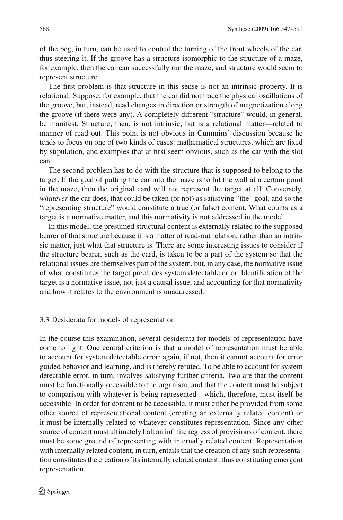of the peg, in turn, can be used to control the turning of the front wheels of the car, thus steering it. If the groove has a structure isomorphic to the structure of a maze, for example, then the car can successfully run the maze, and structure would seem to represent structure.

The first problem is that structure in this sense is not an intrinsic property. It is relational. Suppose, for example, that the car did not trace the physical oscillations of the groove, but, instead, read changes in direction or strength of magnetization along the groove (if there were any). A completely different "structure" would, in general, be manifest. Structure, then, is not intrinsic, but is a relational matter—related to manner of read out. This point is not obvious in Cummins' discussion because he tends to focus on one of two kinds of cases: mathematical structures, which are fixed by stipulation, and examples that at first seem obvious, such as the car with the slot card.

The second problem has to do with the structure that is supposed to belong to the target. If the goal of putting the car into the maze is to hit the wall at a certain point in the maze, then the original card will not represent the target at all. Conversely, *whatever* the car does, that could be taken (or not) as satisfying "the" goal, and so the "representing structure" would constitute a true (or false) content. What counts as a target is a normative matter, and this normativity is not addressed in the model.

In this model, the presumed structural content is externally related to the supposed bearer of that structure because it is a matter of read-out relation, rather than an intrinsic matter, just what that structure is. There are some interesting issues to consider if the structure bearer, such as the card, is taken to be a part of the system so that the relational issues are themselves part of the system, but, in any case, the normative issue of what constitutes the target precludes system detectable error. Identification of the target is a normative issue, not just a causal issue, and accounting for that normativity and how it relates to the environment is unaddressed.

#### 3.3 Desiderata for models of representation

In the course this examination, several desiderata for models of representation have come to light. One central criterion is that a model of representation must be able to account for system detectable error: again, if not, then it cannot account for error guided behavior and learning, and is thereby refuted. To be able to account for system detectable error, in turn, involves satisfying further criteria. Two are that the content must be functionally accessible to the organism, and that the content must be subject to comparison with whatever is being represented—which, therefore, must itself be accessible. In order for content to be accessible, it must either be provided from some other source of representational content (creating an externally related content) or it must be internally related to whatever constitutes representation. Since any other source of content must ultimately halt an infinite regress of provisions of content, there must be some ground of representing with internally related content. Representation with internally related content, in turn, entails that the creation of any such representation constitutes the creation of its internally related content, thus constituting emergent representation.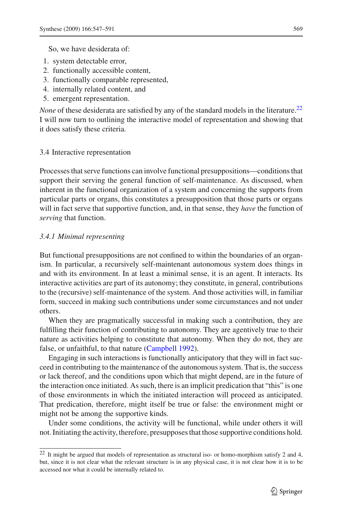So, we have desiderata of:

- 1. system detectable error,
- 2. functionally accessible content,
- 3. functionally comparable represented,
- 4. internally related content, and
- 5. emergent representation.

*None* of these desiderata are satisfied by any of the standard models in the literature.<sup>[22](#page-22-0)</sup> I will now turn to outlining the interactive model of representation and showing that it does satisfy these criteria.

#### 3.4 Interactive representation

Processes that serve functions can involve functional presuppositions—conditions that support their serving the general function of self-maintenance. As discussed, when inherent in the functional organization of a system and concerning the supports from particular parts or organs, this constitutes a presupposition that those parts or organs will in fact serve that supportive function, and, in that sense, they *have* the function of *serving* that function.

#### *3.4.1 Minimal representing*

But functional presuppositions are not confined to within the boundaries of an organism. In particular, a recursively self-maintenant autonomous system does things in and with its environment. In at least a minimal sense, it is an agent. It interacts. Its interactive activities are part of its autonomy; they constitute, in general, contributions to the (recursive) self-maintenance of the system. And those activities will, in familiar form, succeed in making such contributions under some circumstances and not under others.

When they are pragmatically successful in making such a contribution, they are fulfilling their function of contributing to autonomy. They are agentively true to their nature as activities helping to constitute that autonomy. When they do not, they are false, or unfaithful, to that nature [\(Campbell 1992\)](#page-41-0).

Engaging in such interactions is functionally anticipatory that they will in fact succeed in contributing to the maintenance of the autonomous system. That is, the success or lack thereof, and the conditions upon which that might depend, are in the future of the interaction once initiated. As such, there is an implicit predication that "this" is one of those environments in which the initiated interaction will proceed as anticipated. That predication, therefore, might itself be true or false: the environment might or might not be among the supportive kinds.

Under some conditions, the activity will be functional, while under others it will not. Initiating the activity, therefore, presupposes that those supportive conditions hold.

<span id="page-22-0"></span><sup>22</sup> It might be argued that models of representation as structural iso- or homo-morphism satisfy 2 and 4, but, since it is not clear what the relevant structure is in any physical case, it is not clear how it is to be accessed nor what it could be internally related to.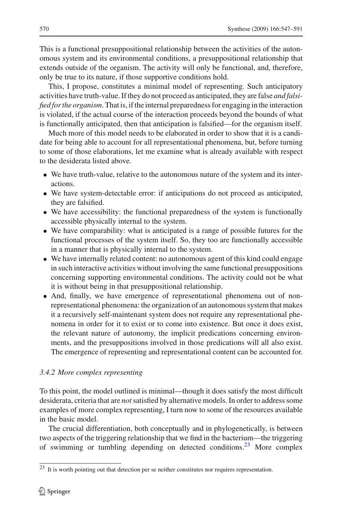This is a functional presuppositional relationship between the activities of the autonomous system and its environmental conditions, a presuppositional relationship that extends outside of the organism. The activity will only be functional, and, therefore, only be true to its nature, if those supportive conditions hold.

This, I propose, constitutes a minimal model of representing. Such anticipatory activities have truth-value. If they do not proceed as anticipated, they are false *and falsified for the organism*. That is, if the internal preparedness for engaging in the interaction is violated, if the actual course of the interaction proceeds beyond the bounds of what is functionally anticipated, then that anticipation is falsified—for the organism itself.

Much more of this model needs to be elaborated in order to show that it is a candidate for being able to account for all representational phenomena, but, before turning to some of those elaborations, let me examine what is already available with respect to the desiderata listed above.

- We have truth-value, relative to the autonomous nature of the system and its interactions.
- We have system-detectable error: if anticipations do not proceed as anticipated, they are falsified.
- We have accessibility: the functional preparedness of the system is functionally accessible physically internal to the system.
- We have comparability: what is anticipated is a range of possible futures for the functional processes of the system itself. So, they too are functionally accessible in a manner that is physically internal to the system.
- We have internally related content: no autonomous agent of this kind could engage in such interactive activities without involving the same functional presuppositions concerning supporting environmental conditions. The activity could not be what it is without being in that presuppositional relationship.
- And, finally, we have emergence of representational phenomena out of nonrepresentational phenomena: the organization of an autonomous system that makes it a recursively self-maintenant system does not require any representational phenomena in order for it to exist or to come into existence. But once it does exist, the relevant nature of autonomy, the implicit predications concerning environments, and the presuppositions involved in those predications will all also exist. The emergence of representing and representational content can be accounted for.

# *3.4.2 More complex representing*

To this point, the model outlined is minimal—though it does satisfy the most difficult desiderata, criteria that are *not*satisfied by alternative models. In order to address some examples of more complex representing, I turn now to some of the resources available in the basic model.

The crucial differentiation, both conceptually and in phylogenetically, is between two aspects of the triggering relationship that we find in the bacterium—the triggering of swimming or tumbling depending on detected conditions.[23](#page-23-0) More complex

<span id="page-23-0"></span><sup>&</sup>lt;sup>23</sup> It is worth pointing out that detection per se neither constitutes nor requires representation.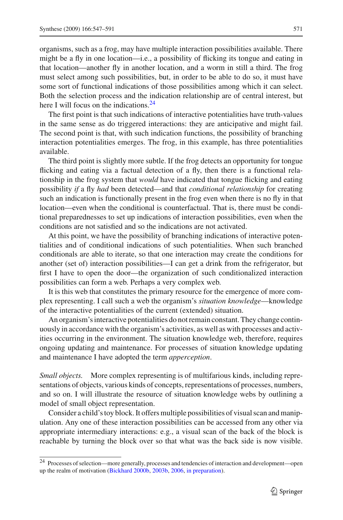organisms, such as a frog, may have multiple interaction possibilities available. There might be a fly in one location—i.e., a possibility of flicking its tongue and eating in that location—another fly in another location, and a worm in still a third. The frog must select among such possibilities, but, in order to be able to do so, it must have some sort of functional indications of those possibilities among which it can select. Both the selection process and the indication relationship are of central interest, but here I will focus on the indications. $24$ 

The first point is that such indications of interactive potentialities have truth-values in the same sense as do triggered interactions: they are anticipative and might fail. The second point is that, with such indication functions, the possibility of branching interaction potentialities emerges. The frog, in this example, has three potentialities available.

The third point is slightly more subtle. If the frog detects an opportunity for tongue flicking and eating via a factual detection of a fly, then there is a functional relationship in the frog system that *would* have indicated that tongue flicking and eating possibility *if* a fly *had* been detected—and that *conditional relationship* for creating such an indication is functionally present in the frog even when there is no fly in that location—even when the conditional is counterfactual. That is, there must be conditional preparednesses to set up indications of interaction possibilities, even when the conditions are not satisfied and so the indications are not activated.

At this point, we have the possibility of branching indications of interactive potentialities and of conditional indications of such potentialities. When such branched conditionals are able to iterate, so that one interaction may create the conditions for another (set of) interaction possibilities—I can get a drink from the refrigerator, but first I have to open the door—the organization of such conditionalized interaction possibilities can form a web. Perhaps a very complex web.

It is this web that constitutes the primary resource for the emergence of more complex representing. I call such a web the organism's *situation knowledge*—knowledge of the interactive potentialities of the current (extended) situation.

An organism's interactive potentialities do not remain constant. They change continuously in accordance with the organism's activities, as well as with processes and activities occurring in the environment. The situation knowledge web, therefore, requires ongoing updating and maintenance. For processes of situation knowledge updating and maintenance I have adopted the term *apperception*.

*Small objects.* More complex representing is of multifarious kinds, including representations of objects, various kinds of concepts, representations of processes, numbers, and so on. I will illustrate the resource of situation knowledge webs by outlining a model of small object representation.

Consider a child's toy block. It offers multiple possibilities of visual scan and manipulation. Any one of these interaction possibilities can be accessed from any other via appropriate intermediary interactions: e.g., a visual scan of the back of the block is reachable by turning the block over so that what was the back side is now visible.

<span id="page-24-0"></span><sup>24</sup> Processes of selection—more generally, processes and tendencies of interaction and development—open up the realm of motivation [\(Bickhard 2000b](#page-40-9), [2003b](#page-40-10), [2006](#page-40-11), [in preparation\)](#page-41-5).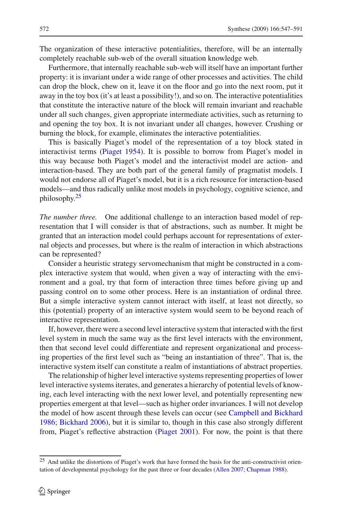The organization of these interactive potentialities, therefore, will be an internally completely reachable sub-web of the overall situation knowledge web.

Furthermore, that internally reachable sub-web will itself have an important further property: it is invariant under a wide range of other processes and activities. The child can drop the block, chew on it, leave it on the floor and go into the next room, put it away in the toy box (it's at least a possibility!), and so on. The interactive potentialities that constitute the interactive nature of the block will remain invariant and reachable under all such changes, given appropriate intermediate activities, such as returning to and opening the toy box. It is not invariant under all changes, however. Crushing or burning the block, for example, eliminates the interactive potentialities.

This is basically Piaget's model of the representation of a toy block stated in interactivist terms [\(Piaget 1954](#page-43-29)). It is possible to borrow from Piaget's model in this way because both Piaget's model and the interactivist model are action- and interaction-based. They are both part of the general family of pragmatist models. I would not endorse all of Piaget's model, but it is a rich resource for interaction-based models—and thus radically unlike most models in psychology, cognitive science, and philosophy.[25](#page-25-0)

*The number three.* One additional challenge to an interaction based model of representation that I will consider is that of abstractions, such as number. It might be granted that an interaction model could perhaps account for representations of external objects and processes, but where is the realm of interaction in which abstractions can be represented?

Consider a heuristic strategy servomechanism that might be constructed in a complex interactive system that would, when given a way of interacting with the environment and a goal, try that form of interaction three times before giving up and passing control on to some other process. Here is an instantiation of ordinal three. But a simple interactive system cannot interact with itself, at least not directly, so this (potential) property of an interactive system would seem to be beyond reach of interactive representation.

If, however, there were a second level interactive system that interacted with the first level system in much the same way as the first level interacts with the environment, then that second level could differentiate and represent organizational and processing properties of the first level such as "being an instantiation of three". That is, the interactive system itself can constitute a realm of instantiations of abstract properties.

The relationship of higher level interactive systems representing properties of lower level interactive systems iterates, and generates a hierarchy of potential levels of knowing, each level interacting with the next lower level, and potentially representing new properties emergent at that level—such as higher order invariances. I will not develop the model of how ascent through these levels can occur (see [Campbell and Bickhard](#page-41-23) [1986;](#page-41-23) [Bickhard 2006\)](#page-40-11), but it is similar to, though in this case also strongly different from, Piaget's reflective abstraction [\(Piaget 2001\)](#page-43-30). For now, the point is that there

<span id="page-25-0"></span><sup>&</sup>lt;sup>25</sup> And unlike the distortions of Piaget's work that have formed the basis for the anti-constructivist orientation of developmental psychology for the past three or four decades [\(Allen 2007](#page-40-12); [Chapman 1988\)](#page-41-24).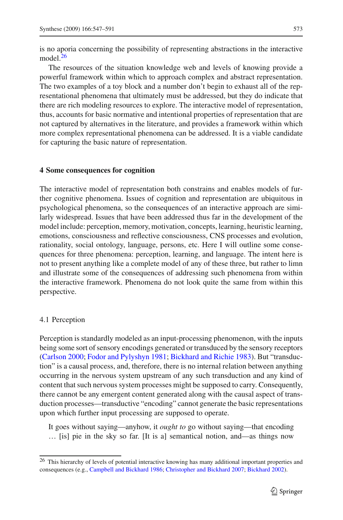is no aporia concerning the possibility of representing abstractions in the interactive model. $26$ 

The resources of the situation knowledge web and levels of knowing provide a powerful framework within which to approach complex and abstract representation. The two examples of a toy block and a number don't begin to exhaust all of the representational phenomena that ultimately must be addressed, but they do indicate that there are rich modeling resources to explore. The interactive model of representation, thus, accounts for basic normative and intentional properties of representation that are not captured by alternatives in the literature, and provides a framework within which more complex representational phenomena can be addressed. It is a viable candidate for capturing the basic nature of representation.

# **4 Some consequences for cognition**

The interactive model of representation both constrains and enables models of further cognitive phenomena. Issues of cognition and representation are ubiquitous in psychological phenomena, so the consequences of an interactive approach are similarly widespread. Issues that have been addressed thus far in the development of the model include: perception, memory, motivation, concepts, learning, heuristic learning, emotions, consciousness and reflective consciousness, CNS processes and evolution, rationality, social ontology, language, persons, etc. Here I will outline some consequences for three phenomena: perception, learning, and language. The intent here is not to present anything like a complete model of any of these three, but rather to limn and illustrate some of the consequences of addressing such phenomena from within the interactive framework. Phenomena do not look quite the same from within this perspective.

#### 4.1 Perception

Perception is standardly modeled as an input-processing phenomenon, with the inputs being some sort of sensory encodings generated or transduced by the sensory receptors [\(Carlson 2000](#page-41-25); [Fodor and Pylyshyn 1981;](#page-41-26) [Bickhard and Richie 1983\)](#page-41-27). But "transduction" is a causal process, and, therefore, there is no internal relation between anything occurring in the nervous system upstream of any such transduction and any kind of content that such nervous system processes might be supposed to carry. Consequently, there cannot be any emergent content generated along with the causal aspect of transduction processes—transductive "encoding" cannot generate the basic representations upon which further input processing are supposed to operate.

It goes without saying—anyhow, it *ought to* go without saying—that encoding … [is] pie in the sky so far. [It is a] semantical notion, and—as things now

<span id="page-26-0"></span><sup>&</sup>lt;sup>26</sup> This hierarchy of levels of potential interactive knowing has many additional important properties and consequences (e.g., [Campbell and Bickhard 1986](#page-41-23); [Christopher and Bickhard 2007;](#page-41-28) [Bickhard 2002](#page-40-13)).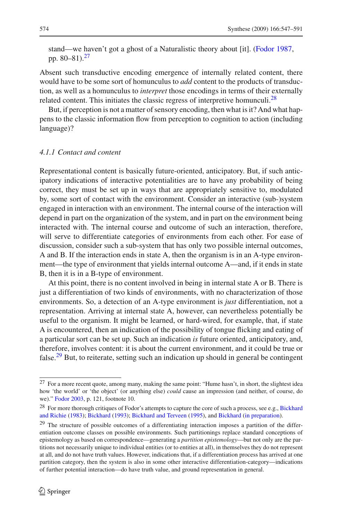stand—we haven't got a ghost of a Naturalistic theory about [it]. [\(Fodor 1987](#page-41-29), pp.  $80-81$ ).<sup>27</sup>

Absent such transductive encoding emergence of internally related content, there would have to be some sort of homunculus to *add* content to the products of transduction, as well as a homunculus to *interpret* those encodings in terms of their externally related content. This initiates the classic regress of interpretive homunculi.<sup>28</sup>

But, if perception is not a matter of sensory encoding, then what is it? And what happens to the classic information flow from perception to cognition to action (including language)?

#### *4.1.1 Contact and content*

Representational content is basically future-oriented, anticipatory. But, if such anticipatory indications of interactive potentialities are to have any probability of being correct, they must be set up in ways that are appropriately sensitive to, modulated by, some sort of contact with the environment. Consider an interactive (sub-)system engaged in interaction with an environment. The internal course of the interaction will depend in part on the organization of the system, and in part on the environment being interacted with. The internal course and outcome of such an interaction, therefore, will serve to differentiate categories of environments from each other. For ease of discussion, consider such a sub-system that has only two possible internal outcomes, A and B. If the interaction ends in state A, then the organism is in an A-type environment—the type of environment that yields internal outcome A—and, if it ends in state B, then it is in a B-type of environment.

At this point, there is no content involved in being in internal state A or B. There is just a differentiation of two kinds of environments, with no characterization of those environments. So, a detection of an A-type environment is *just* differentiation, not a representation. Arriving at internal state A, however, can nevertheless potentially be useful to the organism. It might be learned, or hard-wired, for example, that, if state A is encountered, then an indication of the possibility of tongue flicking and eating of a particular sort can be set up. Such an indication *is* future oriented, anticipatory, and, therefore, involves content: it is about the current environment, and it could be true or false.<sup>[29](#page-27-2)</sup> But, to reiterate, setting such an indication up should in general be contingent

<span id="page-27-0"></span><sup>&</sup>lt;sup>27</sup> For a more recent quote, among many, making the same point: "Hume hasn't, in short, the slightest idea how 'the world' or 'the object' (or anything else) *could* cause an impression (and neither, of course, do we)." [Fodor 2003](#page-41-20), p. 121, footnote 10.

<span id="page-27-1"></span><sup>&</sup>lt;sup>28</sup> For mo[re](#page-41-27) [thorough](#page-41-27) [critiques](#page-41-27) [of](#page-41-27) [Fodor's](#page-41-27) [attempts](#page-41-27) [to](#page-41-27) [capture](#page-41-27) [the](#page-41-27) [core](#page-41-27) of [such](#page-41-27) [a](#page-41-27) [process,](#page-41-27) [see](#page-41-27) [e.g.,](#page-41-27) Bickhard and Richie [\(1983\)](#page-41-27); [Bickhard](#page-40-6) [\(1993](#page-40-6)); [Bickhard and Terveen](#page-41-4) [\(1995\)](#page-41-4), and [Bickhard](#page-41-5) [\(in preparation](#page-41-5)).

<span id="page-27-2"></span><sup>&</sup>lt;sup>29</sup> The structure of possible outcomes of a differentiating interaction imposes a partition of the differentiation outcome classes on possible environments. Such partitionings replace standard conceptions of epistemology as based on correspondence—generating a *partition epistemology*—but not only are the partitions not necessarily unique to individual entities (or to entities at all), in themselves they do not represent at all, and do not have truth values. However, indications that, if a differentiation process has arrived at one partition category, then the system is also in some other interactive differentiation-category—indications of further potential interaction—do have truth value, and ground representation in general.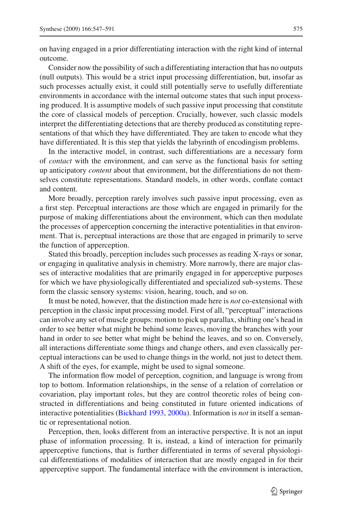on having engaged in a prior differentiating interaction with the right kind of internal outcome.

Consider now the possibility of such a differentiating interaction that has no outputs (null outputs). This would be a strict input processing differentiation, but, insofar as such processes actually exist, it could still potentially serve to usefully differentiate environments in accordance with the internal outcome states that such input processing produced. It is assumptive models of such passive input processing that constitute the core of classical models of perception. Crucially, however, such classic models interpret the differentiating detections that are thereby produced as constituting representations of that which they have differentiated. They are taken to encode what they have differentiated. It is this step that yields the labyrinth of encodingism problems.

In the interactive model, in contrast, such differentiations are a necessary form of *contact* with the environment, and can serve as the functional basis for setting up anticipatory *content* about that environment, but the differentiations do not themselves constitute representations. Standard models, in other words, conflate contact and content.

More broadly, perception rarely involves such passive input processing, even as a first step. Perceptual interactions are those which are engaged in primarily for the purpose of making differentiations about the environment, which can then modulate the processes of apperception concerning the interactive potentialities in that environment. That is, perceptual interactions are those that are engaged in primarily to serve the function of apperception.

Stated this broadly, perception includes such processes as reading X-rays or sonar, or engaging in qualitative analysis in chemistry. More narrowly, there are major classes of interactive modalities that are primarily engaged in for apperceptive purposes for which we have physiologically differentiated and specialized sub-systems. These form the classic sensory systems: vision, hearing, touch, and so on.

It must be noted, however, that the distinction made here is *not* co-extensional with perception in the classic input processing model. First of all, "perceptual" interactions can involve any set of muscle groups: motion to pick up parallax, shifting one's head in order to see better what might be behind some leaves, moving the branches with your hand in order to see better what might be behind the leaves, and so on. Conversely, all interactions differentiate some things and change others, and even classically perceptual interactions can be used to change things in the world, not just to detect them. A shift of the eyes, for example, might be used to signal someone.

The information flow model of perception, cognition, and language is wrong from top to bottom. Information relationships, in the sense of a relation of correlation or covariation, play important roles, but they are control theoretic roles of being constructed in differentiations and being constituted in future oriented indications of interactive potentialities [\(Bickhard 1993](#page-40-6), [2000a](#page-40-14)). Information is *not* in itself a semantic or representational notion.

Perception, then, looks different from an interactive perspective. It is not an input phase of information processing. It is, instead, a kind of interaction for primarily apperceptive functions, that is further differentiated in terms of several physiological differentiations of modalities of interaction that are mostly engaged in for their apperceptive support. The fundamental interface with the environment is interaction,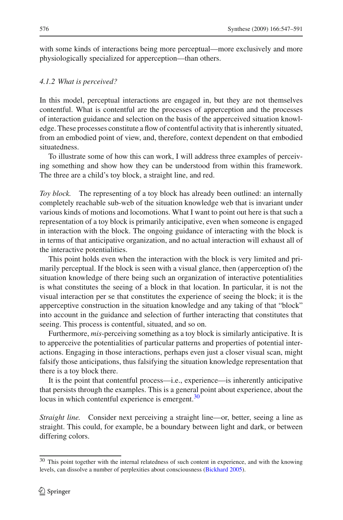with some kinds of interactions being more perceptual—more exclusively and more physiologically specialized for apperception—than others.

# *4.1.2 What is perceived?*

In this model, perceptual interactions are engaged in, but they are not themselves contentful. What is contentful are the processes of apperception and the processes of interaction guidance and selection on the basis of the apperceived situation knowledge. These processes constitute a flow of contentful activity that is inherently situated, from an embodied point of view, and, therefore, context dependent on that embodied situatedness.

To illustrate some of how this can work, I will address three examples of perceiving something and show how they can be understood from within this framework. The three are a child's toy block, a straight line, and red.

*Toy block.* The representing of a toy block has already been outlined: an internally completely reachable sub-web of the situation knowledge web that is invariant under various kinds of motions and locomotions. What I want to point out here is that such a representation of a toy block is primarily anticipative, even when someone is engaged in interaction with the block. The ongoing guidance of interacting with the block is in terms of that anticipative organization, and no actual interaction will exhaust all of the interactive potentialities.

This point holds even when the interaction with the block is very limited and primarily perceptual. If the block is seen with a visual glance, then (apperception of) the situation knowledge of there being such an organization of interactive potentialities is what constitutes the seeing of a block in that location. In particular, it is not the visual interaction per se that constitutes the experience of seeing the block; it is the apperceptive construction in the situation knowledge and any taking of that "block" into account in the guidance and selection of further interacting that constitutes that seeing. This process is contentful, situated, and so on.

Furthermore, *mis*-perceiving something as a toy block is similarly anticipative. It is to apperceive the potentialities of particular patterns and properties of potential interactions. Engaging in those interactions, perhaps even just a closer visual scan, might falsify those anticipations, thus falsifying the situation knowledge representation that there is a toy block there.

It is the point that contentful process—i.e., experience—is inherently anticipative that persists through the examples. This is a general point about experience, about the locus in which contentful experience is emergent. $30$ 

*Straight line.* Consider next perceiving a straight line—or, better, seeing a line as straight. This could, for example, be a boundary between light and dark, or between differing colors.

<span id="page-29-0"></span><sup>&</sup>lt;sup>30</sup> This point together with the internal relatedness of such content in experience, and with the knowing levels, can dissolve a number of perplexities about consciousness [\(Bickhard 2005](#page-40-15)).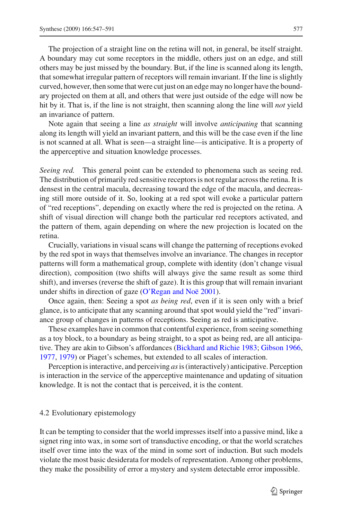an invariance of pattern.

The projection of a straight line on the retina will not, in general, be itself straight. A boundary may cut some receptors in the middle, others just on an edge, and still others may be just missed by the boundary. But, if the line is scanned along its length, that somewhat irregular pattern of receptors will remain invariant. If the line is slightly curved, however, then some that were cut just on an edge may no longer have the boundary projected on them at all, and others that were just outside of the edge will now be hit by it. That is, if the line is not straight, then scanning along the line will *not* yield

Note again that seeing a line *as straight* will involve *anticipating* that scanning along its length will yield an invariant pattern, and this will be the case even if the line is not scanned at all. What is seen—a straight line—is anticipative. It is a property of the apperceptive and situation knowledge processes.

*Seeing red.* This general point can be extended to phenomena such as seeing red. The distribution of primarily red sensitive receptors is not regular across the retina. It is densest in the central macula, decreasing toward the edge of the macula, and decreasing still more outside of it. So, looking at a red spot will evoke a particular pattern of "red receptions", depending on exactly where the red is projected on the retina. A shift of visual direction will change both the particular red receptors activated, and the pattern of them, again depending on where the new projection is located on the retina.

Crucially, variations in visual scans will change the patterning of receptions evoked by the red spot in ways that themselves involve an invariance. The changes in receptor patterns will form a mathematical group, complete with identity (don't change visual direction), composition (two shifts will always give the same result as some third shift), and inverses (reverse the shift of gaze). It is this group that will remain invariant under shifts in direction of gaze [\(O'Regan and Noë 2001](#page-43-31)).

Once again, then: Seeing a spot *as being red*, even if it is seen only with a brief glance, is to anticipate that any scanning around that spot would yield the "red" invariance group of changes in patterns of receptions. Seeing as red is anticipative.

These examples have in common that contentful experience, from seeing something as a toy block, to a boundary as being straight, to a spot as being red, are all anticipative. They are akin to Gibson's affordances [\(Bickhard and Richie 1983;](#page-41-27) [Gibson 1966,](#page-42-23) [1977,](#page-42-24) [1979\)](#page-42-25) or Piaget's schemes, but extended to all scales of interaction.

Perception is interactive, and perceiving *as*is (interactively) anticipative. Perception is interaction in the service of the apperceptive maintenance and updating of situation knowledge. It is not the contact that is perceived, it is the content.

# 4.2 Evolutionary epistemology

It can be tempting to consider that the world impresses itself into a passive mind, like a signet ring into wax, in some sort of transductive encoding, or that the world scratches itself over time into the wax of the mind in some sort of induction. But such models violate the most basic desiderata for models of representation. Among other problems, they make the possibility of error a mystery and system detectable error impossible.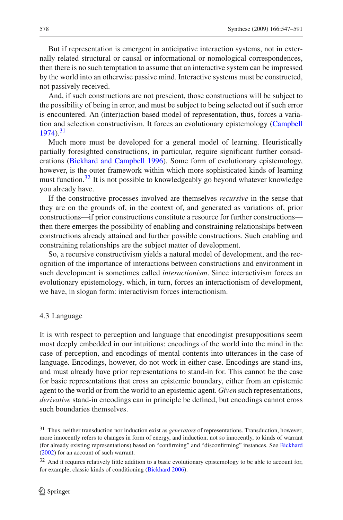But if representation is emergent in anticipative interaction systems, not in externally related structural or causal or informational or nomological correspondences, then there is no such temptation to assume that an interactive system can be impressed by the world into an otherwise passive mind. Interactive systems must be constructed, not passively received.

And, if such constructions are not prescient, those constructions will be subject to the possibility of being in error, and must be subject to being selected out if such error is encountered. An (inter)action based model of representation, thus, forces a variation and selection constructivism. It forces an evolutionary epistemology [\(Campbell](#page-41-12) [1974\)](#page-41-12).[31](#page-31-0)

Much more must be developed for a general model of learning. Heuristically partially foresighted constructions, in particular, require significant further considerations [\(Bickhard and Campbell 1996](#page-41-30)). Some form of evolutionary epistemology, however, is the outer framework within which more sophisticated kinds of learning must function.[32](#page-31-1) It is not possible to knowledgeably go beyond whatever knowledge you already have.

If the constructive processes involved are themselves *recursive* in the sense that they are on the grounds of, in the context of, and generated as variations of, prior constructions—if prior constructions constitute a resource for further constructions then there emerges the possibility of enabling and constraining relationships between constructions already attained and further possible constructions. Such enabling and constraining relationships are the subject matter of development.

So, a recursive constructivism yields a natural model of development, and the recognition of the importance of interactions between constructions and environment in such development is sometimes called *interactionism*. Since interactivism forces an evolutionary epistemology, which, in turn, forces an interactionism of development, we have, in slogan form: interactivism forces interactionism.

## 4.3 Language

It is with respect to perception and language that encodingist presuppositions seem most deeply embedded in our intuitions: encodings of the world into the mind in the case of perception, and encodings of mental contents into utterances in the case of language. Encodings, however, do not work in either case. Encodings are stand-ins, and must already have prior representations to stand-in for. This cannot be the case for basic representations that cross an epistemic boundary, either from an epistemic agent to the world or from the world to an epistemic agent. *Given* such representations, *derivative* stand-in encodings can in principle be defined, but encodings cannot cross such boundaries themselves.

<span id="page-31-0"></span><sup>31</sup> Thus, neither transduction nor induction exist as *generators* of representations. Transduction, however, more innocently refers to changes in form of energy, and induction, not so innocently, to kinds of warrant (for already existing representations) based on "confirming" and "disconfirming" instances. See [Bickhard](#page-40-13) [\(2002](#page-40-13)) for an account of such warrant.

<span id="page-31-1"></span> $32$  And it requires relatively little addition to a basic evolutionary epistemology to be able to account for, for example, classic kinds of conditioning [\(Bickhard 2006](#page-40-11)).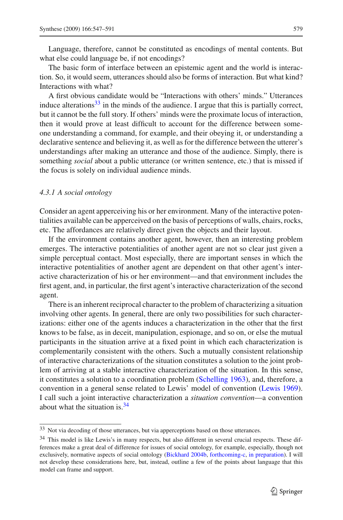Language, therefore, cannot be constituted as encodings of mental contents. But what else could language be, if not encodings?

The basic form of interface between an epistemic agent and the world is interaction. So, it would seem, utterances should also be forms of interaction. But what kind? Interactions with what?

A first obvious candidate would be "Interactions with others' minds." Utterances induce alterations $33$  in the minds of the audience. I argue that this is partially correct, but it cannot be the full story. If others' minds were the proximate locus of interaction, then it would prove at least difficult to account for the difference between someone understanding a command, for example, and their obeying it, or understanding a declarative sentence and believing it, as well as for the difference between the utterer's understandings after making an utterance and those of the audience. Simply, there is something *social* about a public utterance (or written sentence, etc.) that is missed if the focus is solely on individual audience minds.

#### *4.3.1 A social ontology*

Consider an agent apperceiving his or her environment. Many of the interactive potentialities available can be apperceived on the basis of perceptions of walls, chairs, rocks, etc. The affordances are relatively direct given the objects and their layout.

If the environment contains another agent, however, then an interesting problem emerges. The interactive potentialities of another agent are not so clear just given a simple perceptual contact. Most especially, there are important senses in which the interactive potentialities of another agent are dependent on that other agent's interactive characterization of his or her environment—and that environment includes the first agent, and, in particular, the first agent's interactive characterization of the second agent.

There is an inherent reciprocal character to the problem of characterizing a situation involving other agents. In general, there are only two possibilities for such characterizations: either one of the agents induces a characterization in the other that the first knows to be false, as in deceit, manipulation, espionage, and so on, or else the mutual participants in the situation arrive at a fixed point in which each characterization is complementarily consistent with the others. Such a mutually consistent relationship of interactive characterizations of the situation constitutes a solution to the joint problem of arriving at a stable interactive characterization of the situation. In this sense, it constitutes a solution to a coordination problem [\(Schelling 1963\)](#page-43-32), and, therefore, a convention in a general sense related to Lewis' model of convention [\(Lewis 1969](#page-42-26)). I call such a joint interactive characterization a *situation convention*—a convention about what the situation is. $34$ 

<sup>&</sup>lt;sup>33</sup> Not via decoding of those utterances, but via apperceptions based on those utterances.

<span id="page-32-1"></span><span id="page-32-0"></span><sup>34</sup> This model is like Lewis's in many respects, but also different in several crucial respects. These differences make a great deal of difference for issues of social ontology, for example, especially, though not exclusively, normative aspects of social ontology [\(Bickhard 2004b,](#page-40-16) [forthcoming-c,](#page-41-31) [in preparation\)](#page-41-5). I will not develop these considerations here, but, instead, outline a few of the points about language that this model can frame and support.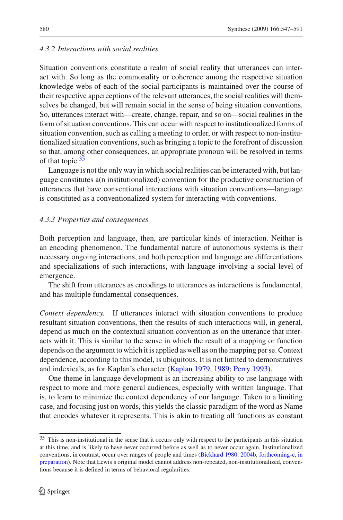#### *4.3.2 Interactions with social realities*

Situation conventions constitute a realm of social reality that utterances can interact with. So long as the commonality or coherence among the respective situation knowledge webs of each of the social participants is maintained over the course of their respective apperceptions of the relevant utterances, the social realities will themselves be changed, but will remain social in the sense of being situation conventions. So, utterances interact with—create, change, repair, and so on—social realities in the form of situation conventions. This can occur with respect to institutionalized forms of situation convention, such as calling a meeting to order, or with respect to non-institutionalized situation conventions, such as bringing a topic to the forefront of discussion so that, among other consequences, an appropriate pronoun will be resolved in terms of that topic.<sup>[35](#page-33-0)</sup>

Language is not the only way in which social realities can be interacted with, but language constitutes a(n institutionalized) convention for the productive construction of utterances that have conventional interactions with situation conventions—language is constituted as a conventionalized system for interacting with conventions.

### *4.3.3 Properties and consequences*

Both perception and language, then, are particular kinds of interaction. Neither is an encoding phenomenon. The fundamental nature of autonomous systems is their necessary ongoing interactions, and both perception and language are differentiations and specializations of such interactions, with language involving a social level of emergence.

The shift from utterances as encodings to utterances as interactions is fundamental, and has multiple fundamental consequences.

*Context dependency.* If utterances interact with situation conventions to produce resultant situation conventions, then the results of such interactions will, in general, depend as much on the contextual situation convention as on the utterance that interacts with it. This is similar to the sense in which the result of a mapping or function depends on the argument to which it is applied as well as on the mapping per se. Context dependence, according to this model, is ubiquitous. It is not limited to demonstratives and indexicals, as for Kaplan's character [\(Kaplan 1979](#page-42-27), [1989](#page-42-28); [Perry 1993](#page-43-33)).

One theme in language development is an increasing ability to use language with respect to more and more general audiences, especially with written language. That is, to learn to minimize the context dependency of our language. Taken to a limiting case, and focusing just on words, this yields the classic paradigm of the word as Name that encodes whatever it represents. This is akin to treating all functions as constant

<span id="page-33-0"></span><sup>35</sup> This is non-institutional in the sense that it occurs only with respect to the participants in this situation at this time, and is likely to have never occurred before as well as to never occur again. Institutionalized convention[s,](#page-41-5) [in](#page-41-5) [contrast,](#page-41-5) [occur](#page-41-5) [over](#page-41-5) [ranges](#page-41-5) [of](#page-41-5) [people](#page-41-5) [and](#page-41-5) [times](#page-41-5) [\(Bickhard 1980](#page-40-17)[,](#page-41-5) [2004b](#page-40-16), [forthcoming-c,](#page-41-31) in preparation). Note that Lewis's original model cannot address non-repeated, non-institutionalized, conventions because it is defined in terms of behavioral regularities.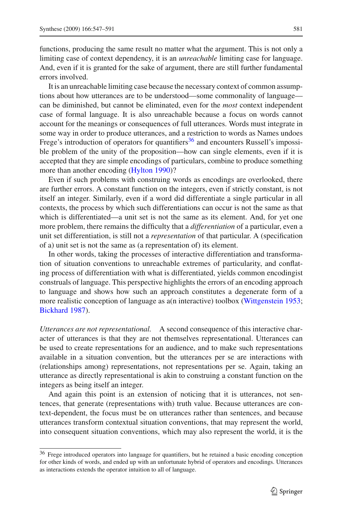functions, producing the same result no matter what the argument. This is not only a limiting case of context dependency, it is an *unreachable* limiting case for language. And, even if it is granted for the sake of argument, there are still further fundamental errors involved.

It is an unreachable limiting case because the necessary context of common assumptions about how utterances are to be understood—some commonality of language can be diminished, but cannot be eliminated, even for the *most* context independent case of formal language. It is also unreachable because a focus on words cannot account for the meanings or consequences of full utterances. Words must integrate in some way in order to produce utterances, and a restriction to words as Names undoes Frege's introduction of operators for quantifiers $36$  and encounters Russell's impossible problem of the unity of the proposition—how can single elements, even if it is accepted that they are simple encodings of particulars, combine to produce something more than another encoding [\(Hylton 1990](#page-42-18))?

Even if such problems with construing words as encodings are overlooked, there are further errors. A constant function on the integers, even if strictly constant, is not itself an integer. Similarly, even if a word did differentiate a single particular in all contexts, the process by which such differentiations can occur is not the same as that which is differentiated—a unit set is not the same as its element. And, for yet one more problem, there remains the difficulty that a *differentiation* of a particular, even a unit set differentiation, is still not a *representation* of that particular. A (specification of a) unit set is not the same as (a representation of) its element.

In other words, taking the processes of interactive differentiation and transformation of situation conventions to unreachable extremes of particularity, and conflating process of differentiation with what is differentiated, yields common encodingist construals of language. This perspective highlights the errors of an encoding approach to language and shows how such an approach constitutes a degenerate form of a more realistic conception of language as a(n interactive) toolbox [\(Wittgenstein 1953](#page-44-2); [Bickhard 1987\)](#page-40-18).

*Utterances are not representational.* A second consequence of this interactive character of utterances is that they are not themselves representational. Utterances can be used to create representations for an audience, and to make such representations available in a situation convention, but the utterances per se are interactions with (relationships among) representations, not representations per se. Again, taking an utterance as directly representational is akin to construing a constant function on the integers as being itself an integer.

And again this point is an extension of noticing that it is utterances, not sentences, that generate (representations with) truth value. Because utterances are context-dependent, the focus must be on utterances rather than sentences, and because utterances transform contextual situation conventions, that may represent the world, into consequent situation conventions, which may also represent the world, it is the

<span id="page-34-0"></span><sup>36</sup> Frege introduced operators into language for quantifiers, but he retained a basic encoding conception for other kinds of words, and ended up with an unfortunate hybrid of operators and encodings. Utterances as interactions extends the operator intuition to all of language.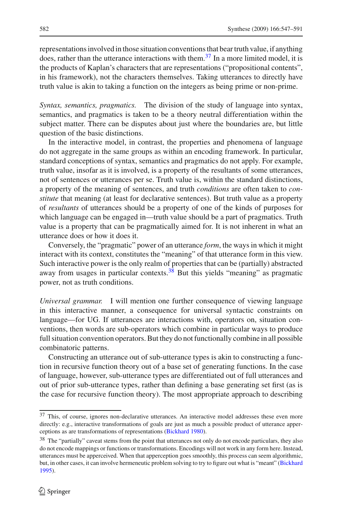representations involved in those situation conventions that bear truth value, if anything does, rather than the utterance interactions with them.<sup>[37](#page-35-0)</sup> In a more limited model, it is the products of Kaplan's characters that are representations ("propositional contents", in his framework), not the characters themselves. Taking utterances to directly have truth value is akin to taking a function on the integers as being prime or non-prime.

*Syntax, semantics, pragmatics.* The division of the study of language into syntax, semantics, and pragmatics is taken to be a theory neutral differentiation within the subject matter. There can be disputes about just where the boundaries are, but little question of the basic distinctions.

In the interactive model, in contrast, the properties and phenomena of language do not aggregate in the same groups as within an encoding framework. In particular, standard conceptions of syntax, semantics and pragmatics do not apply. For example, truth value, insofar as it is involved, is a property of the resultants of some utterances, not of sentences or utterances per se. Truth value is, within the standard distinctions, a property of the meaning of sentences, and truth *conditions* are often taken to *constitute* that meaning (at least for declarative sentences). But truth value as a property of *resultants* of utterances should be a property of one of the kinds of purposes for which language can be engaged in—truth value should be a part of pragmatics. Truth value is a property that can be pragmatically aimed for. It is not inherent in what an utterance does or how it does it.

Conversely, the "pragmatic" power of an utterance *form*, the ways in which it might interact with its context, constitutes the "meaning" of that utterance form in this view. Such interactive power is the only realm of properties that can be (partially) abstracted away from usages in particular contexts. $38$  But this yields "meaning" as pragmatic power, not as truth conditions.

*Universal grammar.* I will mention one further consequence of viewing language in this interactive manner, a consequence for universal syntactic constraints on language—for UG. If utterances are interactions with, operators on, situation conventions, then words are sub-operators which combine in particular ways to produce full situation convention operators. But they do not functionally combine in all possible combinatoric patterns.

Constructing an utterance out of sub-utterance types is akin to constructing a function in recursive function theory out of a base set of generating functions. In the case of language, however, sub-utterance types are differentiated out of full utterances and out of prior sub-utterance types, rather than defining a base generating set first (as is the case for recursive function theory). The most appropriate approach to describing

<span id="page-35-0"></span><sup>&</sup>lt;sup>37</sup> This, of course, ignores non-declarative utterances. An interactive model addresses these even more directly: e.g., interactive transformations of goals are just as much a possible product of utterance apperceptions as are transformations of representations [\(Bickhard 1980](#page-40-17)).

<span id="page-35-1"></span><sup>&</sup>lt;sup>38</sup> The "partially" caveat stems from the point that utterances not only do not encode particulars, they also do not encode mappings or functions or transformations. Encodings will not work in any form here. Instead, utterances must be apperceived. When that apperception goes smoothly, this process can seem algorithmic, but, in other cases, it can involve hermeneutic problem solving to try to figure out what is "meant" [\(Bickhard](#page-40-19) [1995\)](#page-40-19).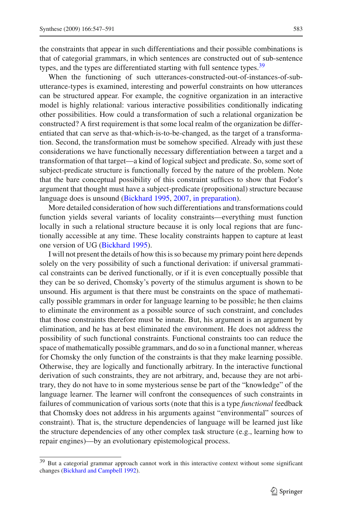the constraints that appear in such differentiations and their possible combinations is that of categorial grammars, in which sentences are constructed out of sub-sentence types, and the types are differentiated starting with full sentence types.<sup>[39](#page-36-0)</sup>

When the functioning of such utterances-constructed-out-of-instances-of-subutterance-types is examined, interesting and powerful constraints on how utterances can be structured appear. For example, the cognitive organization in an interactive model is highly relational: various interactive possibilities conditionally indicating other possibilities. How could a transformation of such a relational organization be constructed? A first requirement is that some local realm of the organization be differentiated that can serve as that-which-is-to-be-changed, as the target of a transformation. Second, the transformation must be somehow specified. Already with just these considerations we have functionally necessary differentiation between a target and a transformation of that target—a kind of logical subject and predicate. So, some sort of subject-predicate structure is functionally forced by the nature of the problem. Note that the bare conceptual possibility of this constraint suffices to show that Fodor's argument that thought must have a subject-predicate (propositional) structure because language does is unsound [\(Bickhard 1995,](#page-40-19) [2007](#page-40-20), [in preparation](#page-41-5)).

More detailed consideration of how such differentiations and transformations could function yields several variants of locality constraints—everything must function locally in such a relational structure because it is only local regions that are functionally accessible at any time. These locality constraints happen to capture at least one version of UG [\(Bickhard 1995](#page-40-19)).

I will not present the details of how this is so because my primary point here depends solely on the very possibility of such a functional derivation: if universal grammatical constraints can be derived functionally, or if it is even conceptually possible that they can be so derived, Chomsky's poverty of the stimulus argument is shown to be unsound. His argument is that there must be constraints on the space of mathematically possible grammars in order for language learning to be possible; he then claims to eliminate the environment as a possible source of such constraint, and concludes that those constraints therefore must be innate. But, his argument is an argument by elimination, and he has at best eliminated the environment. He does not address the possibility of such functional constraints. Functional constraints too can reduce the space of mathematically possible grammars, and do so in a functional manner, whereas for Chomsky the only function of the constraints is that they make learning possible. Otherwise, they are logically and functionally arbitrary. In the interactive functional derivation of such constraints, they are not arbitrary, and, because they are not arbitrary, they do not have to in some mysterious sense be part of the "knowledge" of the language learner. The learner will confront the consequences of such constraints in failures of communication of various sorts (note that this is a type *functional* feedback that Chomsky does not address in his arguments against "environmental" sources of constraint). That is, the structure dependencies of language will be learned just like the structure dependencies of any other complex task structure (e.g., learning how to repair engines)—by an evolutionary epistemological process.

<span id="page-36-0"></span><sup>39</sup> But a categorial grammar approach cannot work in this interactive context without some significant changes [\(Bickhard and Campbell 1992\)](#page-41-32).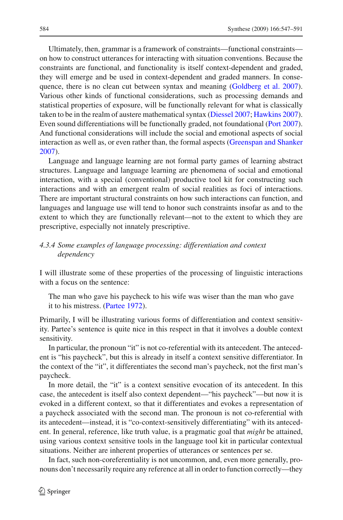Ultimately, then, grammar is a framework of constraints—functional constraints on how to construct utterances for interacting with situation conventions. Because the constraints are functional, and functionality is itself context-dependent and graded, they will emerge and be used in context-dependent and graded manners. In consequence, there is no clean cut between syntax and meaning [\(Goldberg et al. 2007](#page-42-29)). Various other kinds of functional considerations, such as processing demands and statistical properties of exposure, will be functionally relevant for what is classically taken to be in the realm of austere mathematical syntax [\(Diessel 2007;](#page-41-33) [Hawkins 2007](#page-42-30)). Even sound differentiations will be functionally graded, not foundational [\(Port 2007](#page-43-34)). And functional considerations will include the social and emotional aspects of social interaction as well as, or even rather than, the formal aspects [\(Greenspan and Shanker](#page-42-31) [2007\)](#page-42-31).

Language and language learning are not formal party games of learning abstract structures. Language and language learning are phenomena of social and emotional interaction, with a special (conventional) productive tool kit for constructing such interactions and with an emergent realm of social realities as foci of interactions. There are important structural constraints on how such interactions can function, and languages and language use will tend to honor such constraints insofar as and to the extent to which they are functionally relevant—not to the extent to which they are prescriptive, especially not innately prescriptive.

# *4.3.4 Some examples of language processing: differentiation and context dependency*

I will illustrate some of these properties of the processing of linguistic interactions with a focus on the sentence:

The man who gave his paycheck to his wife was wiser than the man who gave it to his mistress. [\(Partee 1972\)](#page-43-35).

Primarily, I will be illustrating various forms of differentiation and context sensitivity. Partee's sentence is quite nice in this respect in that it involves a double context sensitivity.

In particular, the pronoun "it" is not co-referential with its antecedent. The antecedent is "his paycheck", but this is already in itself a context sensitive differentiator. In the context of the "it", it differentiates the second man's paycheck, not the first man's paycheck.

In more detail, the "it" is a context sensitive evocation of its antecedent. In this case, the antecedent is itself also context dependent—"his paycheck"—but now it is evoked in a different context, so that it differentiates and evokes a representation of a paycheck associated with the second man. The pronoun is not co-referential with its antecedent—instead, it is "co-context-sensitively differentiating" with its antecedent. In general, reference, like truth value, is a pragmatic goal that *might* be attained, using various context sensitive tools in the language tool kit in particular contextual situations. Neither are inherent properties of utterances or sentences per se.

In fact, such non-coreferentiality is not uncommon, and, even more generally, pronouns don't necessarily require any reference at all in order to function correctly—they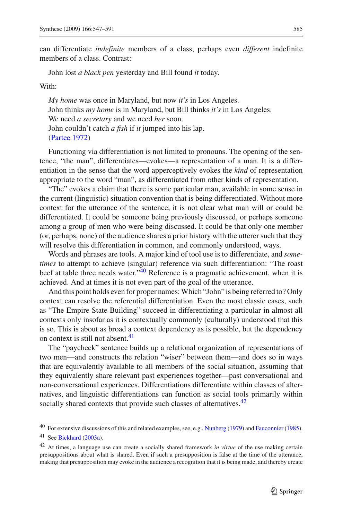can differentiate *indefinite* members of a class, perhaps even *different* indefinite members of a class. Contrast:

John lost *a black pen* yesterday and Bill found *it* today.

With:

*My home* was once in Maryland, but now *it's* in Los Angeles. John thinks *my home* is in Maryland, but Bill thinks *it's* in Los Angeles. We need *a secretary* and we need *her* soon. John couldn't catch *a fish* if *it* jumped into his lap. [\(Partee 1972\)](#page-43-35)

Functioning via differentiation is not limited to pronouns. The opening of the sentence, "the man", differentiates—evokes—a representation of a man. It is a differentiation in the sense that the word apperceptively evokes the *kind* of representation appropriate to the word "man", as differentiated from other kinds of representation.

"The" evokes a claim that there is some particular man, available in some sense in the current (linguistic) situation convention that is being differentiated. Without more context for the utterance of the sentence, it is not clear what man will or could be differentiated. It could be someone being previously discussed, or perhaps someone among a group of men who were being discussed. It could be that only one member (or, perhaps, none) of the audience shares a prior history with the utterer such that they will resolve this differentiation in common, and commonly understood, ways.

Words and phrases are tools. A major kind of tool use is to differentiate, and *sometimes* to attempt to achieve (singular) reference via such differentiation: "The roast beef at table three needs water.<sup> $\frac{40}{40}$  $\frac{40}{40}$  $\frac{40}{40}$ </sup> Reference is a pragmatic achievement, when it is achieved. And at times it is not even part of the goal of the utterance.

And this point holds even for proper names:Which "John" is being referred to? Only context can resolve the referential differentiation. Even the most classic cases, such as "The Empire State Building" succeed in differentiating a particular in almost all contexts only insofar as it is contextually commonly (culturally) understood that this is so. This is about as broad a context dependency as is possible, but the dependency on context is still not absent.<sup>[41](#page-38-1)</sup>

The "paycheck" sentence builds up a relational organization of representations of two men—and constructs the relation "wiser" between them—and does so in ways that are equivalently available to all members of the social situation, assuming that they equivalently share relevant past experiences together—past conversational and non-conversational experiences. Differentiations differentiate within classes of alternatives, and linguistic differentiations can function as social tools primarily within socially shared contexts that provide such classes of alternatives.<sup>42</sup>

<span id="page-38-0"></span><sup>&</sup>lt;sup>40</sup> For extensive discussions of this and related examples, see, e.g., [Nunberg](#page-43-36) [\(1979](#page-43-36)) and [Fauconnier](#page-41-34) [\(1985](#page-41-34)). <sup>41</sup> See [Bickhard](#page-40-8) [\(2003a\)](#page-40-8).

<span id="page-38-2"></span><span id="page-38-1"></span><sup>42</sup> At times, a language use can create a socially shared framework *in virtue* of the use making certain presuppositions about what is shared. Even if such a presupposition is false at the time of the utterance, making that presupposition may evoke in the audience a recognition that it is being made, and thereby create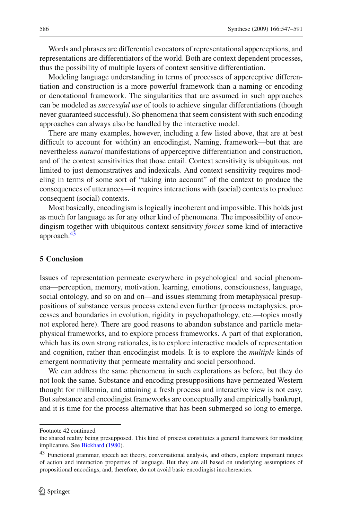Words and phrases are differential evocators of representational apperceptions, and representations are differentiators of the world. Both are context dependent processes, thus the possibility of multiple layers of context sensitive differentiation.

Modeling language understanding in terms of processes of apperceptive differentiation and construction is a more powerful framework than a naming or encoding or denotational framework. The singularities that are assumed in such approaches can be modeled as *successful use* of tools to achieve singular differentiations (though never guaranteed successful). So phenomena that seem consistent with such encoding approaches can always also be handled by the interactive model.

There are many examples, however, including a few listed above, that are at best difficult to account for with(in) an encodingist, Naming, framework—but that are nevertheless *natural* manifestations of apperceptive differentiation and construction, and of the context sensitivities that those entail. Context sensitivity is ubiquitous, not limited to just demonstratives and indexicals. And context sensitivity requires modeling in terms of some sort of "taking into account" of the context to produce the consequences of utterances—it requires interactions with (social) contexts to produce consequent (social) contexts.

Most basically, encodingism is logically incoherent and impossible. This holds just as much for language as for any other kind of phenomena. The impossibility of encodingism together with ubiquitous context sensitivity *forces* some kind of interactive approach[.43](#page-39-0)

# **5 Conclusion**

Issues of representation permeate everywhere in psychological and social phenomena—perception, memory, motivation, learning, emotions, consciousness, language, social ontology, and so on and on—and issues stemming from metaphysical presuppositions of substance versus process extend even further (process metaphysics, processes and boundaries in evolution, rigidity in psychopathology, etc.—topics mostly not explored here). There are good reasons to abandon substance and particle metaphysical frameworks, and to explore process frameworks. A part of that exploration, which has its own strong rationales, is to explore interactive models of representation and cognition, rather than encodingist models. It is to explore the *multiple* kinds of emergent normativity that permeate mentality and social personhood.

We can address the same phenomena in such explorations as before, but they do not look the same. Substance and encoding presuppositions have permeated Western thought for millennia, and attaining a fresh process and interactive view is not easy. But substance and encodingist frameworks are conceptually and empirically bankrupt, and it is time for the process alternative that has been submerged so long to emerge.

Footnote 42 continued

the shared reality being presupposed. This kind of process constitutes a general framework for modeling implicature. See [Bickhard](#page-40-17) [\(1980](#page-40-17)).

<span id="page-39-0"></span><sup>&</sup>lt;sup>43</sup> Functional grammar, speech act theory, conversational analysis, and others, explore important ranges of action and interaction properties of language. But they are all based on underlying assumptions of propositional encodings, and, therefore, do not avoid basic encodingist incoherencies.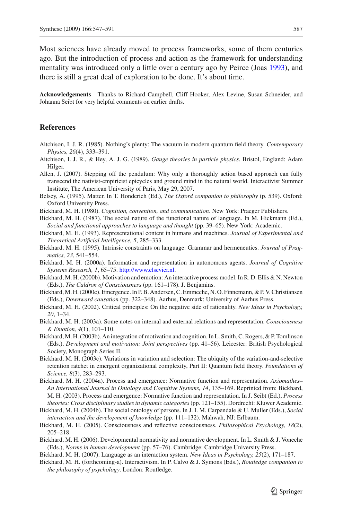Most sciences have already moved to process frameworks, some of them centuries ago. But the introduction of process and action as the framework for understanding mentality was introduced only a little over a century ago by Peirce (Joas [1993](#page-42-32)), and there is still a great deal of exploration to be done. It's about time.

**Acknowledgements** Thanks to Richard Campbell, Cliff Hooker, Alex Levine, Susan Schneider, and Johanna Seibt for very helpful comments on earlier drafts.

#### **References**

- <span id="page-40-3"></span>Aitchison, I. J. R. (1985). Nothing's plenty: The vacuum in modern quantum field theory. *Contemporary Physics, 26*(4), 333–391.
- <span id="page-40-2"></span>Aitchison, I. J. R., & Hey, A. J. G. (1989). *Gauge theories in particle physics*. Bristol, England: Adam Hilger.
- <span id="page-40-12"></span>Allen, J. (2007). Stepping off the pendulum: Why only a thoroughly action based approach can fully transcend the nativist-empiricist epicycles and ground mind in the natural world. Interactivist Summer Institute, The American University of Paris, May 29, 2007.
- <span id="page-40-0"></span>Belsey, A. (1995). Matter. In T. Honderich (Ed.), *The Oxford companion to philosophy* (p. 539). Oxford: Oxford University Press.
- Bickhard, M. H. (1980). *Cognition, convention, and communication*. New York: Praeger Publishers.
- <span id="page-40-18"></span><span id="page-40-17"></span>Bickhard, M. H. (1987). The social nature of the functional nature of language. In M. Hickmann (Ed.), *Social and functional approaches to language and thought* (pp. 39–65). New York: Academic.
- <span id="page-40-6"></span>Bickhard, M. H. (1993). Representational content in humans and machines. *Journal of Experimental and Theoretical Artificial Intelligence, 5*, 285–333.
- <span id="page-40-19"></span>Bickhard, M. H. (1995). Intrinsic constraints on language: Grammar and hermeneutics. *Journal of Pragmatics, 23*, 541–554.
- <span id="page-40-14"></span>Bickhard, M. H. (2000a). Information and representation in autonomous agents. *Journal of Cognitive Systems Research, 1*, 65–75. [http://www.elsevier.nl.](http://www.elsevier.nl)
- <span id="page-40-9"></span>Bickhard, M. H. (2000b). Motivation and emotion: An interactive process model. In R. D. Ellis & N. Newton (Eds.), *The Caldron of Consciousness* (pp. 161–178). J. Benjamins.
- <span id="page-40-1"></span>Bickhard,M. H. (2000c). Emergence. In P. B. Andersen, C. Emmeche, N. O. Finnemann, & P. V. Christiansen (Eds.), *Downward causation* (pp. 322–348). Aarhus, Denmark: University of Aarhus Press.
- <span id="page-40-13"></span>Bickhard, M. H. (2002). Critical principles: On the negative side of rationality. *New Ideas in Psychology, 20*, 1–34.
- <span id="page-40-8"></span>Bickhard, M. H. (2003a). Some notes on internal and external relations and representation. *Consciousness & Emotion, 4*(1), 101–110.
- <span id="page-40-10"></span>Bickhard, M. H. (2003b). An integration of motivation and cognition. In L. Smith, C. Rogers, & P. Tomlinson (Eds.), *Development and motivation: Joint perspectives* (pp. 41–56). Leicester: British Psychological Society, Monograph Series II.
- <span id="page-40-4"></span>Bickhard, M. H. (2003c). Variations in variation and selection: The ubiquity of the variation-and-selective retention ratchet in emergent organizational complexity, Part II: Quantum field theory. *Foundations of Science, 8*(3), 283–293.
- <span id="page-40-5"></span>Bickhard, M. H. (2004a). Process and emergence: Normative function and representation. *Axiomathes– An International Journal in Ontology and Cognitive Systems, 14*, 135–169. Reprinted from: Bickhard, M. H. (2003). Process and emergence: Normative function and representation. In J. Seibt (Ed.), *Process theories: Cross disciplinary studies in dynamic categories*(pp. 121–155). Dordrecht: Kluwer Academic.
- <span id="page-40-16"></span>Bickhard, M. H. (2004b). The social ontology of persons. In J. I. M. Carpendale & U. Muller (Eds.), *Social interaction and the development of knowledge* (pp. 111–132). Mahwah, NJ: Erlbaum.
- <span id="page-40-15"></span>Bickhard, M. H. (2005). Consciousness and reflective consciousness. *Philosophical Psychology, 18*(2), 205–218.
- <span id="page-40-11"></span>Bickhard, M. H. (2006). Developmental normativity and normative development. In L. Smith & J. Voneche (Eds.), *Norms in human development* (pp. 57–76). Cambridge: Cambridge University Press.
- <span id="page-40-20"></span>Bickhard, M. H. (2007). Language as an interaction system. *New Ideas in Psychology, 25*(2), 171–187.
- <span id="page-40-7"></span>Bickhard, M. H. (forthcoming-a). Interactivism. In P. Calvo & J. Symons (Eds.), *Routledge companion to the philosophy of psychology*. London: Routledge.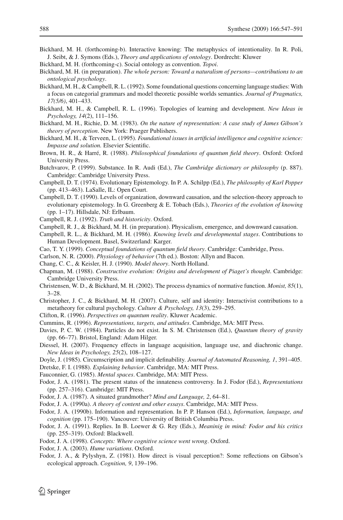- <span id="page-41-11"></span>Bickhard, M. H. (forthcoming-b). Interactive knowing: The metaphysics of intentionality. In R. Poli, J. Seibt, & J. Symons (Eds.), *Theory and applications of ontology*. Dordrecht: Kluwer
- <span id="page-41-31"></span>Bickhard, M. H. (forthcoming-c). Social ontology as convention. *Topoi*.
- <span id="page-41-5"></span>Bickhard, M. H. (in preparation). *The whole person: Toward a naturalism of persons—contributions to an ontological psychology*.
- <span id="page-41-32"></span>Bickhard, M. H., & Campbell, R. L. (1992). Some foundational questions concerning language studies: With a focus on categorial grammars and model theoretic possible worlds semantics. *Journal of Pragmatics, 17(5/6)*, 401–433.
- <span id="page-41-30"></span>Bickhard, M. H., & Campbell, R. L. (1996). Topologies of learning and development. *New Ideas in Psychology, 14*(2), 111–156.
- <span id="page-41-27"></span>Bickhard, M. H., Richie, D. M. (1983). *On the nature of representation: A case study of James Gibson's theory of perception*. New York: Praeger Publishers.
- <span id="page-41-4"></span>Bickhard, M. H., & Terveen, L. (1995). *Foundational issues in artificial intelligence and cognitive science: Impasse and solution.* Elsevier Scientific.
- <span id="page-41-7"></span>Brown, H. R., & Harré, R. (1988). *Philosophical foundations of quantum field theory*. Oxford: Oxford University Press.
- <span id="page-41-1"></span>Butchvarov, P. (1999). Substance. In R. Audi (Ed.), *The Cambridge dictionary or philosophy* (p. 887). Cambridge: Cambridge University Press.
- <span id="page-41-12"></span>Campbell, D. T. (1974). Evolutionary Epistemology. In P. A. Schilpp (Ed.), *The philosophy of Karl Popper* (pp. 413–463). LaSalle, IL: Open Court.
- <span id="page-41-13"></span>Campbell, D. T. (1990). Levels of organization, downward causation, and the selection-theory approach to evolutionary epistemology. In G. Greenberg & E. Tobach (Eds.), *Theories of the evolution of knowing* (pp. 1–17). Hillsdale, NJ: Erlbaum.
- Campbell, R. J. (1992). *Truth and historicity*. Oxford.
- <span id="page-41-6"></span><span id="page-41-0"></span>Campbell, R. J., & Bickhard, M. H. (in preparation). Physicalism, emergence, and downward causation.
- <span id="page-41-23"></span>Campbell, R. L., & Bickhard, M. H. (1986). *Knowing levels and developmental stages*. Contributions to Human Development. Basel, Switzerland: Karger.
- <span id="page-41-8"></span>Cao, T. Y. (1999). *Conceptual foundations of quantum field theory*. Cambridge: Cambridge, Press.
- <span id="page-41-25"></span>Carlson, N. R. (2000). *Physiology of behavior* (7th ed.). Boston: Allyn and Bacon.
- <span id="page-41-2"></span>Chang, C. C., & Keisler, H. J. (1990). *Model theory*. North Holland.
- <span id="page-41-24"></span>Chapman, M. (1988). *Constructive evolution: Origins and development of Piaget's thought*. Cambridge: Cambridge University Press.
- <span id="page-41-14"></span>Christensen, W. D., & Bickhard, M. H. (2002). The process dynamics of normative function. *Monist, 85*(1), 3–28.
- <span id="page-41-28"></span>Christopher, J. C., & Bickhard, M. H. (2007). Culture, self and identity: Interactivist contributions to a metatheory for cultural psychology. *Culture & Psychology, 13*(3), 259–295.
- <span id="page-41-9"></span>Clifton, R. (1996). *Perspectives on quantum reality*. Kluwer Academic.
- Cummins, R. (1996). *Representations, targets, and attitudes*. Cambridge, MA: MIT Press.
- <span id="page-41-22"></span><span id="page-41-10"></span>Davies, P. C. W. (1984). Particles do not exist. In S. M. Christensen (Ed.), *Quantum theory of gravity* (pp. 66–77). Bristol, England: Adam Hilger.
- <span id="page-41-33"></span>Diessel, H. (2007). Frequency effects in language acquisition, language use, and diachronic change. *New Ideas in Psychology, 25*(2), 108–127.
- Doyle, J. (1985). Circumscription and implicit definability. *Journal of Automated Reasoning, 1*, 391–405.
- <span id="page-41-21"></span><span id="page-41-3"></span>Dretske, F. I. (1988). *Explaining behavior*. Cambridge, MA: MIT Press.
- <span id="page-41-34"></span>Fauconnier, G. (1985). *Mental spaces*. Cambridge, MA: MIT Press.
- <span id="page-41-18"></span>Fodor, J. A. (1981). The present status of the innateness controversy. In J. Fodor (Ed.), *Representations* (pp. 257–316). Cambridge: MIT Press.
- <span id="page-41-29"></span>Fodor, J. A. (1987). A situated grandmother? *Mind and Language, 2*, 64–81.
- <span id="page-41-15"></span>Fodor, J. A. (1990a). *A theory of content and other essays*. Cambridge, MA: MIT Press.
- <span id="page-41-16"></span>Fodor, J. A. (1990b). Information and representation. In P. P. Hanson (Ed.), *Information, language, and cognition* (pp. 175–190). Vancouver: University of British Columbia Press.
- <span id="page-41-17"></span>Fodor, J. A. (1991). Replies. In B. Loewer & G. Rey (Eds.), *Meaninig in mind: Fodor and his critics* (pp. 255–319). Oxford: Blackwell.
- <span id="page-41-19"></span>Fodor, J. A. (1998). *Concepts: Where cognitive science went wrong*. Oxford.
- <span id="page-41-20"></span>Fodor, J. A. (2003). *Hume variations*. Oxford.
- <span id="page-41-26"></span>Fodor, J. A., & Pylyshyn, Z. (1981). How direct is visual perception?: Some reflections on Gibson's ecological approach. *Cognition, 9*, 139–196.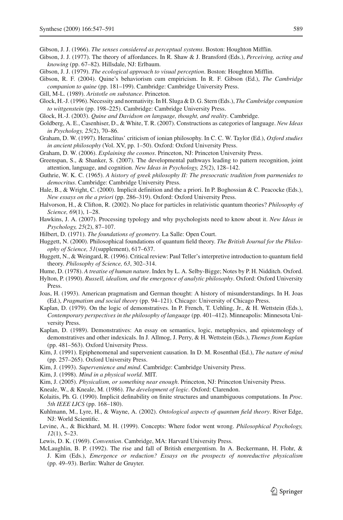<span id="page-42-23"></span>Gibson, J. J. (1966). *The senses considered as perceptual systems*. Boston: Houghton Mifflin.

- <span id="page-42-24"></span>Gibson, J. J. (1977). The theory of affordances. In R. Shaw & J. Bransford (Eds.), *Perceiving, acting and knowing* (pp. 67–82). Hillsdale, NJ: Erlbaum.
- Gibson, J. J. (1979). *The ecological approach to visual perception*. Boston: Houghton Mifflin.
- <span id="page-42-25"></span><span id="page-42-19"></span>Gibson, R. F. (2004). Quine's behaviorism cum empiricism. In R. F. Gibson (Ed.), *The Cambridge companion to quine* (pp. 181–199). Cambridge: Cambridge University Press.
- <span id="page-42-1"></span>Gill, M-L. (1989). *Aristotle on substance*. Princeton.
- <span id="page-42-20"></span>Glock, H.-J. (1996). Necessity and normativity. In H. Sluga & D. G. Stern (Eds.), *The Cambridge companion to wittgenstein* (pp. 198–225). Cambridge: Cambridge University Press.
- <span id="page-42-21"></span>Glock, H.-J. (2003). *Quine and Davidson on language, thought, and reality*. Cambridge.
- <span id="page-42-29"></span>Goldberg, A. E., Casenhiser, D., & White, T. R. (2007). Constructions as categories of language. *New Ideas in Psychology, 25*(2), 70–86.
- <span id="page-42-2"></span>Graham, D. W. (1997). Heraclitus' criticism of ionian philosophy. In C. C. W. Taylor (Ed.), *Oxford studies in ancient philosophy* (Vol. XV, pp. 1–50). Oxford: Oxford University Press.
- <span id="page-42-3"></span>Graham, D. W. (2006). *Explaining the cosmos*. Princeton, NJ: Princeton University Press.
- <span id="page-42-31"></span>Greenspan, S., & Shanker, S. (2007). The developmental pathways leading to pattern recognition, joint attention, language, and cognition. *New Ideas in Psychology, 25*(2), 128–142.
- <span id="page-42-0"></span>Guthrie, W. K. C. (1965). *A history of greek philosophy II: The presocratic tradition from parmenides to democritus*. Cambridge: Cambridge University Press.
- <span id="page-42-7"></span>Hale, B., & Wright, C. (2000). Implicit definition and the a priori. In P. Boghossian & C. Peacocke (Eds.), *New essays on the a priori* (pp. 286–319). Oxford: Oxford University Press.
- <span id="page-42-13"></span>Halvorson, H., & Clifton, R. (2002). No place for particles in relativistic quantum theories? *Philosophy of Science, 69*(1), 1–28.
- <span id="page-42-30"></span>Hawkins, J. A. (2007). Processing typology and why psychologists need to know about it. *New Ideas in Psychology, 25*(2), 87–107.
- <span id="page-42-5"></span>Hilbert, D. (1971). *The foundations of geometry*. La Salle: Open Court.
- <span id="page-42-14"></span>Huggett, N. (2000). Philosophical foundations of quantum field theory. *The British Journal for the Philosophy of Science, 51*(supplement), 617–637.
- <span id="page-42-16"></span>Huggett, N., & Weingard, R. (1996). Critical review: Paul Teller's interpretive introduction to quantum field theory. *Philosophy of Science, 63*, 302–314.
- <span id="page-42-4"></span>Hume, D. (1978). *A treatise of human nature*. Index by L. A. Selby-Bigge; Notes by P. H. Nidditch. Oxford.
- <span id="page-42-18"></span>Hylton, P. (1990). *Russell, idealism, and the emergence of analytic philosophy*. Oxford: Oxford University Press.
- <span id="page-42-32"></span>Joas, H. (1993). American pragmatism and German thought: A history of misunderstandings. In H. Joas (Ed.), *Pragmatism and social theory* (pp. 94–121). Chicago: University of Chicago Press.
- <span id="page-42-27"></span>Kaplan, D. (1979). On the logic of demonstratives. In P. French, T. Uehling, Jr., & H. Wettstein (Eds.), *Contemporary perspectives in the philosophy of language* (pp. 401–412). Minneapolis: Minnesota University Press.
- <span id="page-42-28"></span>Kaplan, D. (1989). Demonstratives: An essay on semantics, logic, metaphysics, and epistemology of demonstratives and other indexicals. In J. Allmog, J. Perry, & H. Wettstein (Eds.), *Themes from Kaplan* (pp. 481–563). Oxford University Press.
- <span id="page-42-9"></span>Kim, J. (1991). Epiphenomenal and supervenient causation. In D. M. Rosenthal (Ed.), *The nature of mind* (pp. 257–265). Oxford University Press.
- <span id="page-42-17"></span>Kim, J. (1993). *Supervenience and mind*. Cambridge: Cambridge University Press.
- <span id="page-42-11"></span>Kim, J. (1998). *Mind in a physical world*. MIT.
- <span id="page-42-12"></span>Kim, J. (2005). *Physicalism, or something near enough*. Princeton, NJ: Princeton University Press.
- Kneale, W., & Kneale, M. (1986). *The development of logic*. Oxford: Clarendon.
- <span id="page-42-8"></span><span id="page-42-6"></span>Kolaitis, Ph. G. (1990). Implicit definability on finite structures and unambiguous computations. In *Proc. 5th IEEE LICS* (pp. 168–180).
- <span id="page-42-15"></span>Kuhlmann, M., Lyre, H., & Wayne, A. (2002). *Ontological aspects of quantum field theory*. River Edge, NJ: World Scientific.
- <span id="page-42-22"></span>Levine, A., & Bickhard, M. H. (1999). Concepts: Where fodor went wrong. *Philosophical Psychology, 12*(1), 5–23.
- <span id="page-42-26"></span><span id="page-42-10"></span>Lewis, D. K. (1969). *Convention*. Cambridge, MA: Harvard University Press.
- McLaughlin, B. P. (1992). The rise and fall of British emergentism. In A. Beckermann, H. Flohr, & J. Kim (Eds.), *Emergence or reduction? Essays on the prospects of nonreductive physicalism* (pp. 49–93). Berlin: Walter de Gruyter.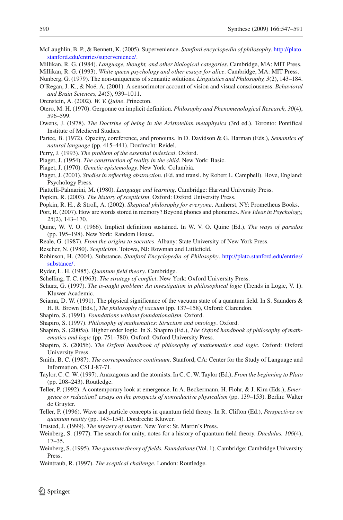- <span id="page-43-18"></span>McLaughlin, B. P., & Bennett, K. (2005). Supervenience. *Stanford encyclopedia of philosophy*. [http://plato.](http://plato.stanford.edu/entries/supervenience/) [stanford.edu/entries/supervenience/.](http://plato.stanford.edu/entries/supervenience/)
- <span id="page-43-19"></span>Millikan, R. G. (1984). *Language, thought, and other biological categories*. Cambridge, MA: MIT Press.
- <span id="page-43-20"></span>Millikan, R. G. (1993). *White queen psychology and other essays for alice*. Cambridge, MA: MIT Press.
- <span id="page-43-36"></span>Nunberg, G. (1979). The non-uniqueness of semantic solutions. *Linguistics and Philosophy, 3*(2), 143–184.
- <span id="page-43-31"></span>O'Regan, J. K., & Noë, A. (2001). A sensorimotor account of vision and visual consciousness. *Behavioral and Brain Sciences, 24*(5), 939–1011.
- <span id="page-43-28"></span>Orenstein, A. (2002). *W. V. Quine*. Princeton.
- <span id="page-43-6"></span>Otero, M. H. (1970). Gergonne on implicit definition. *Philosophy and Phenomenological Research, 30*(4), 596–599.
- <span id="page-43-4"></span>Owens, J. (1978). *The Doctrine of being in the Aristotelian metaphysics* (3rd ed.). Toronto: Pontifical Institute of Medieval Studies.
- <span id="page-43-35"></span>Partee, B. (1972). Opacity, coreference, and pronouns. In D. Davidson & G. Harman (Eds.), *Semantics of natural language* (pp. 415–441). Dordrecht: Reidel.
- <span id="page-43-33"></span>Perry, J. (1993). *The problem of the essential indexical*. Oxford.
- <span id="page-43-29"></span>Piaget, J. (1954). *The construction of reality in the child*. New York: Basic.
- <span id="page-43-22"></span>Piaget, J. (1970). *Genetic epistemology.* New York: Columbia.
- <span id="page-43-30"></span>Piaget, J. (2001). *Studies in reflecting abstraction*. (Ed. and transl. by Robert L. Campbell). Hove, England: Psychology Press.
- <span id="page-43-23"></span>Piattelli-Palmarini, M. (1980). *Language and learning*. Cambridge: Harvard University Press.
- <span id="page-43-24"></span>Popkin, R. (2003). *The history of scepticism*. Oxford: Oxford University Press.
- <span id="page-43-25"></span>Popkin, R. H., & Stroll, A. (2002). *Skeptical philosophy for everyone*. Amherst, NY: Prometheus Books.
- <span id="page-43-34"></span>Port, R. (2007). How are words stored in memory? Beyond phones and phonemes. *New Ideas in Psychology, 25*(2), 143–170.
- <span id="page-43-11"></span>Quine, W. V. O. (1966). Implicit definition sustained. In W. V. O. Quine (Ed.), *The ways of paradox* (pp. 195–198). New York: Random House.
- <span id="page-43-1"></span>Reale, G. (1987). *From the origins to socrates*. Albany: State University of New York Press.
- <span id="page-43-26"></span>Rescher, N. (1980). *Scepticism*. Totowa, NJ: Rowman and Littlefield.
- <span id="page-43-3"></span>Robinson, H. (2004). Substance. *Stanford Encyclopedia of Philosophy*. [http://plato.stanford.edu/entries/](http://plato.stanford.edu/entries/substance/) [substance/.](http://plato.stanford.edu/entries/substance/)
- <span id="page-43-12"></span>Ryder, L. H. (1985). *Quantum field theory*. Cambridge.
- <span id="page-43-32"></span>Schelling, T. C. (1963). *The strategy of conflict*. New York: Oxford University Press.
- <span id="page-43-5"></span>Schurz, G. (1997). *The is-ought problem: An investigation in philosophical logic* (Trends in Logic, V. 1). Kluwer Academic.
- <span id="page-43-14"></span>Sciama, D. W. (1991). The physical significance of the vacuum state of a quantum field. In S. Saunders & H. R. Brown (Eds.), *The philosophy of vacuum* (pp. 137–158), Oxford: Clarendon.
- <span id="page-43-9"></span>Shapiro, S. (1991). *Foundations without foundationalism*. Oxford.
- Shapiro, S. (1997). *Philosophy of mathematics: Structure and ontology*. Oxford.
- <span id="page-43-10"></span><span id="page-43-7"></span>Shapiro, S. (2005a). Higher order logic. In S. Shapiro (Ed.), *The Oxford handbook of philosophy of mathematics and logic* (pp. 751–780). Oxford: Oxford University Press.
- <span id="page-43-8"></span>Shapiro, S. (2005b). *The Oxford handbook of philosophy of mathematics and logic*. Oxford: Oxford University Press.
- <span id="page-43-21"></span>Smith, B. C. (1987). *The correspondence continuum*. Stanford, CA: Center for the Study of Language and Information, CSLI-87-71.
- <span id="page-43-0"></span>Taylor, C. C. W. (1997). Anaxagoras and the atomists. In C. C. W. Taylor (Ed.), *From the beginning to Plato* (pp. 208–243). Routledge.
- <span id="page-43-17"></span>Teller, P. (1992). A contemporary look at emergence. In A. Beckermann, H. Flohr, & J. Kim (Eds.), *Emergence or reduction? essays on the prospects of nonreductive physicalism* (pp. 139–153). Berlin: Walter de Gruyter.
- <span id="page-43-16"></span>Teller, P. (1996). Wave and particle concepts in quantum field theory. In R. Clifton (Ed.), *Perspectives on quantum reality* (pp. 143–154). Dordrecht: Kluwer.
- <span id="page-43-15"></span><span id="page-43-2"></span>Trusted, J. (1999). *The mystery of matter*. New York: St. Martin's Press.
- Weinberg, S. (1977). The search for unity, notes for a history of quantum field theory. *Daedalus, 106*(4), 17–35.
- <span id="page-43-13"></span>Weinberg, S. (1995). *The quantum theory of fields. Foundations*(Vol. 1). Cambridge: Cambridge University Press.
- <span id="page-43-27"></span>Weintraub, R. (1997). *The sceptical challenge*. London: Routledge.